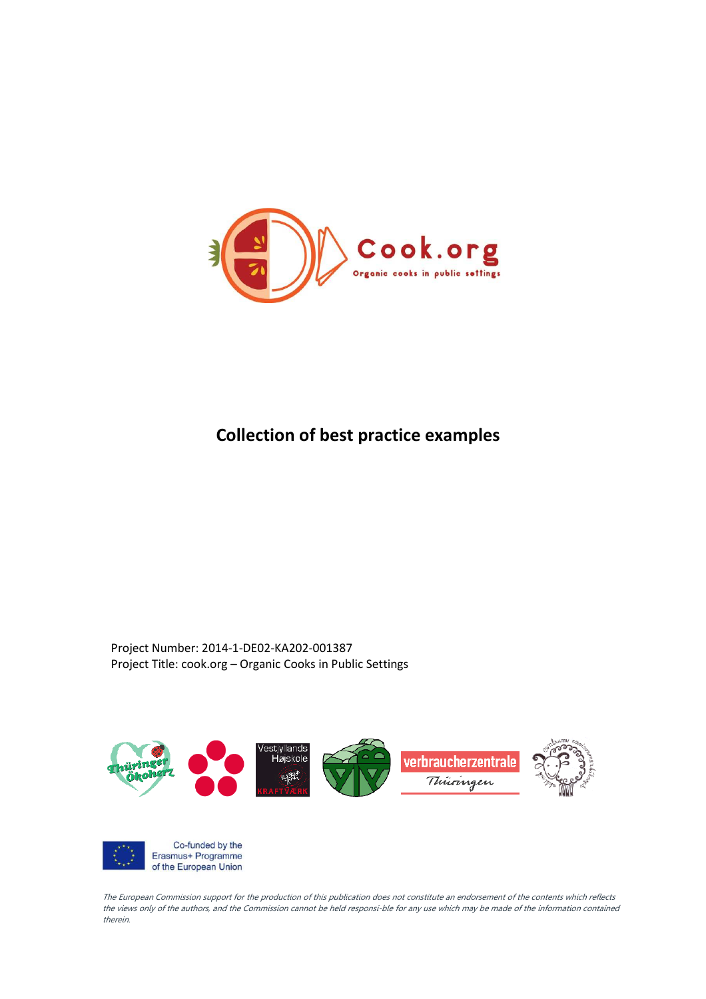

#### **Collection of best practice examples**

Project Number: 2014-1-DE02-KA202-001387 Project Title: cook.org – Organic Cooks in Public Settings





The European Commission support for the production of this publication does not constitute an endorsement of the contents which reflects the views only of the authors, and the Commission cannot be held responsi-ble for any use which may be made of the information contained therein.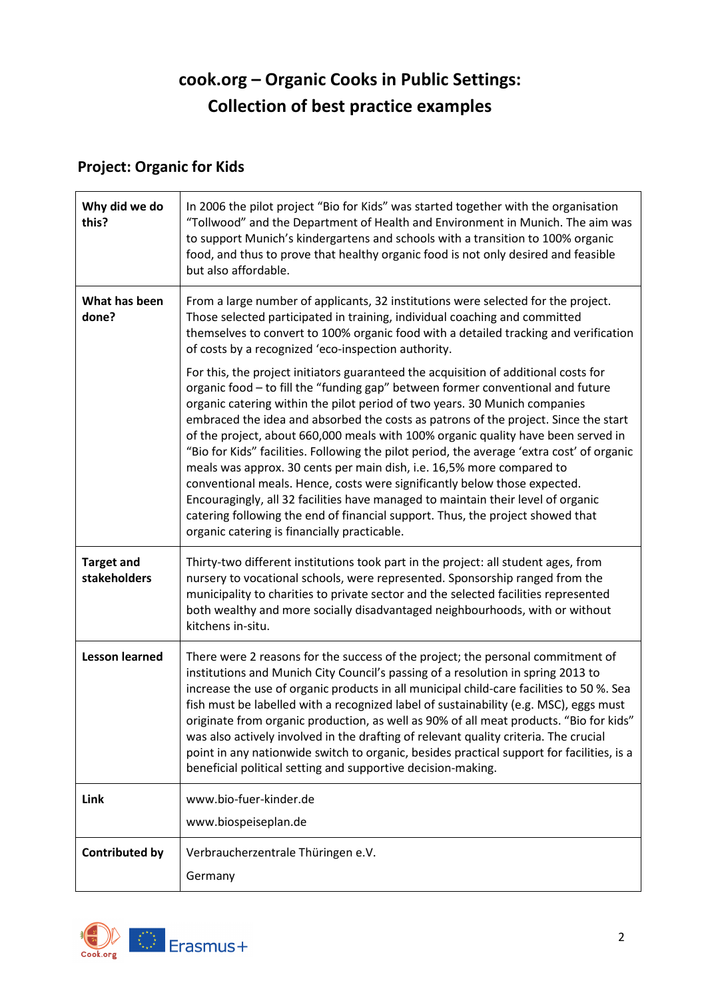# **cook.org – Organic Cooks in Public Settings: Collection of best practice examples**

## **Project: Organic for Kids**

| Why did we do<br>this?            | In 2006 the pilot project "Bio for Kids" was started together with the organisation<br>"Tollwood" and the Department of Health and Environment in Munich. The aim was<br>to support Munich's kindergartens and schools with a transition to 100% organic<br>food, and thus to prove that healthy organic food is not only desired and feasible<br>but also affordable.                                                                                                                                                                                                                                                                                                                                                                                                                                                                                                                                     |
|-----------------------------------|------------------------------------------------------------------------------------------------------------------------------------------------------------------------------------------------------------------------------------------------------------------------------------------------------------------------------------------------------------------------------------------------------------------------------------------------------------------------------------------------------------------------------------------------------------------------------------------------------------------------------------------------------------------------------------------------------------------------------------------------------------------------------------------------------------------------------------------------------------------------------------------------------------|
| What has been<br>done?            | From a large number of applicants, 32 institutions were selected for the project.<br>Those selected participated in training, individual coaching and committed<br>themselves to convert to 100% organic food with a detailed tracking and verification<br>of costs by a recognized 'eco-inspection authority.                                                                                                                                                                                                                                                                                                                                                                                                                                                                                                                                                                                             |
|                                   | For this, the project initiators guaranteed the acquisition of additional costs for<br>organic food - to fill the "funding gap" between former conventional and future<br>organic catering within the pilot period of two years. 30 Munich companies<br>embraced the idea and absorbed the costs as patrons of the project. Since the start<br>of the project, about 660,000 meals with 100% organic quality have been served in<br>"Bio for Kids" facilities. Following the pilot period, the average 'extra cost' of organic<br>meals was approx. 30 cents per main dish, i.e. 16,5% more compared to<br>conventional meals. Hence, costs were significantly below those expected.<br>Encouragingly, all 32 facilities have managed to maintain their level of organic<br>catering following the end of financial support. Thus, the project showed that<br>organic catering is financially practicable. |
| <b>Target and</b><br>stakeholders | Thirty-two different institutions took part in the project: all student ages, from<br>nursery to vocational schools, were represented. Sponsorship ranged from the<br>municipality to charities to private sector and the selected facilities represented<br>both wealthy and more socially disadvantaged neighbourhoods, with or without<br>kitchens in-situ.                                                                                                                                                                                                                                                                                                                                                                                                                                                                                                                                             |
| <b>Lesson learned</b>             | There were 2 reasons for the success of the project; the personal commitment of<br>institutions and Munich City Council's passing of a resolution in spring 2013 to<br>increase the use of organic products in all municipal child-care facilities to 50 %. Sea<br>fish must be labelled with a recognized label of sustainability (e.g. MSC), eggs must<br>originate from organic production, as well as 90% of all meat products. "Bio for kids"<br>was also actively involved in the drafting of relevant quality criteria. The crucial<br>point in any nationwide switch to organic, besides practical support for facilities, is a<br>beneficial political setting and supportive decision-making.                                                                                                                                                                                                    |
| Link                              | www.bio-fuer-kinder.de<br>www.biospeiseplan.de                                                                                                                                                                                                                                                                                                                                                                                                                                                                                                                                                                                                                                                                                                                                                                                                                                                             |
| <b>Contributed by</b>             | Verbraucherzentrale Thüringen e.V.<br>Germany                                                                                                                                                                                                                                                                                                                                                                                                                                                                                                                                                                                                                                                                                                                                                                                                                                                              |

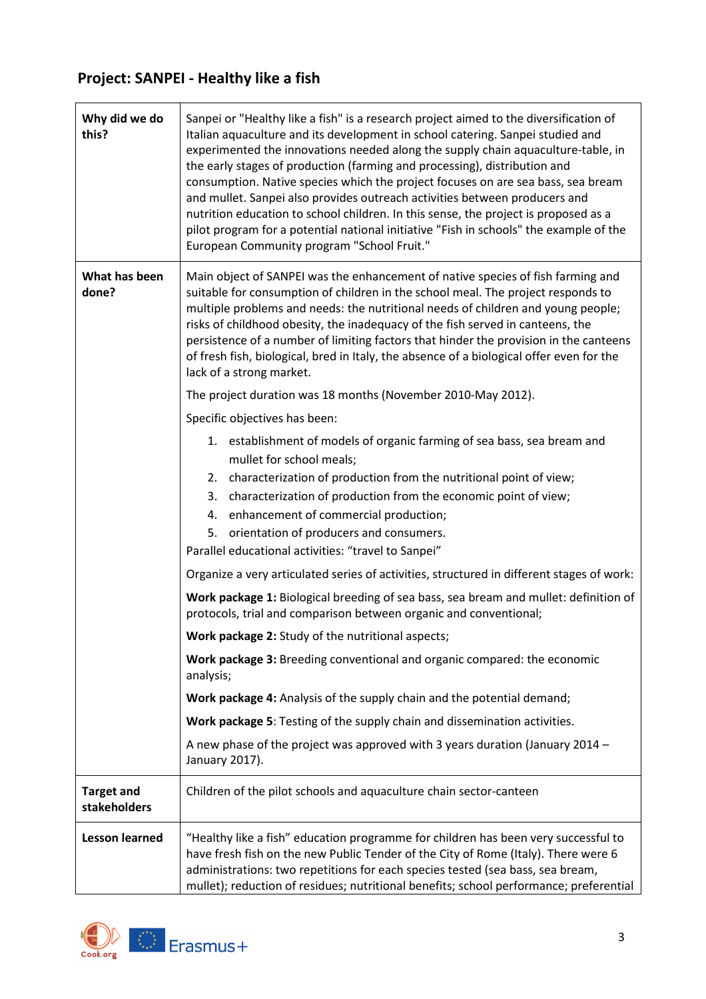# **Project: SANPEI - Healthy like a fish**

| Why did we do<br>this?            | Sanpei or "Healthy like a fish" is a research project aimed to the diversification of<br>Italian aquaculture and its development in school catering. Sanpei studied and<br>experimented the innovations needed along the supply chain aquaculture-table, in<br>the early stages of production (farming and processing), distribution and<br>consumption. Native species which the project focuses on are sea bass, sea bream<br>and mullet. Sanpei also provides outreach activities between producers and<br>nutrition education to school children. In this sense, the project is proposed as a<br>pilot program for a potential national initiative "Fish in schools" the example of the<br>European Community program "School Fruit." |
|-----------------------------------|-------------------------------------------------------------------------------------------------------------------------------------------------------------------------------------------------------------------------------------------------------------------------------------------------------------------------------------------------------------------------------------------------------------------------------------------------------------------------------------------------------------------------------------------------------------------------------------------------------------------------------------------------------------------------------------------------------------------------------------------|
| What has been<br>done?            | Main object of SANPEI was the enhancement of native species of fish farming and<br>suitable for consumption of children in the school meal. The project responds to<br>multiple problems and needs: the nutritional needs of children and young people;<br>risks of childhood obesity, the inadequacy of the fish served in canteens, the<br>persistence of a number of limiting factors that hinder the provision in the canteens<br>of fresh fish, biological, bred in Italy, the absence of a biological offer even for the<br>lack of a strong market.                                                                                                                                                                                |
|                                   | The project duration was 18 months (November 2010-May 2012).                                                                                                                                                                                                                                                                                                                                                                                                                                                                                                                                                                                                                                                                              |
|                                   | Specific objectives has been:                                                                                                                                                                                                                                                                                                                                                                                                                                                                                                                                                                                                                                                                                                             |
|                                   | 1. establishment of models of organic farming of sea bass, sea bream and<br>mullet for school meals;                                                                                                                                                                                                                                                                                                                                                                                                                                                                                                                                                                                                                                      |
|                                   | characterization of production from the nutritional point of view;<br>2.                                                                                                                                                                                                                                                                                                                                                                                                                                                                                                                                                                                                                                                                  |
|                                   | characterization of production from the economic point of view;<br>3.                                                                                                                                                                                                                                                                                                                                                                                                                                                                                                                                                                                                                                                                     |
|                                   | enhancement of commercial production;<br>4.                                                                                                                                                                                                                                                                                                                                                                                                                                                                                                                                                                                                                                                                                               |
|                                   | orientation of producers and consumers.<br>5.<br>Parallel educational activities: "travel to Sanpei"                                                                                                                                                                                                                                                                                                                                                                                                                                                                                                                                                                                                                                      |
|                                   | Organize a very articulated series of activities, structured in different stages of work:                                                                                                                                                                                                                                                                                                                                                                                                                                                                                                                                                                                                                                                 |
|                                   | Work package 1: Biological breeding of sea bass, sea bream and mullet: definition of<br>protocols, trial and comparison between organic and conventional;                                                                                                                                                                                                                                                                                                                                                                                                                                                                                                                                                                                 |
|                                   | Work package 2: Study of the nutritional aspects;                                                                                                                                                                                                                                                                                                                                                                                                                                                                                                                                                                                                                                                                                         |
|                                   | Work package 3: Breeding conventional and organic compared: the economic<br>analysis;                                                                                                                                                                                                                                                                                                                                                                                                                                                                                                                                                                                                                                                     |
|                                   | Work package 4: Analysis of the supply chain and the potential demand;                                                                                                                                                                                                                                                                                                                                                                                                                                                                                                                                                                                                                                                                    |
|                                   | Work package 5: Testing of the supply chain and dissemination activities.                                                                                                                                                                                                                                                                                                                                                                                                                                                                                                                                                                                                                                                                 |
|                                   | A new phase of the project was approved with 3 years duration (January 2014 –<br>January 2017).                                                                                                                                                                                                                                                                                                                                                                                                                                                                                                                                                                                                                                           |
| <b>Target and</b><br>stakeholders | Children of the pilot schools and aquaculture chain sector-canteen                                                                                                                                                                                                                                                                                                                                                                                                                                                                                                                                                                                                                                                                        |
| <b>Lesson learned</b>             | "Healthy like a fish" education programme for children has been very successful to<br>have fresh fish on the new Public Tender of the City of Rome (Italy). There were 6<br>administrations: two repetitions for each species tested (sea bass, sea bream,<br>mullet); reduction of residues; nutritional benefits; school performance; preferential                                                                                                                                                                                                                                                                                                                                                                                      |

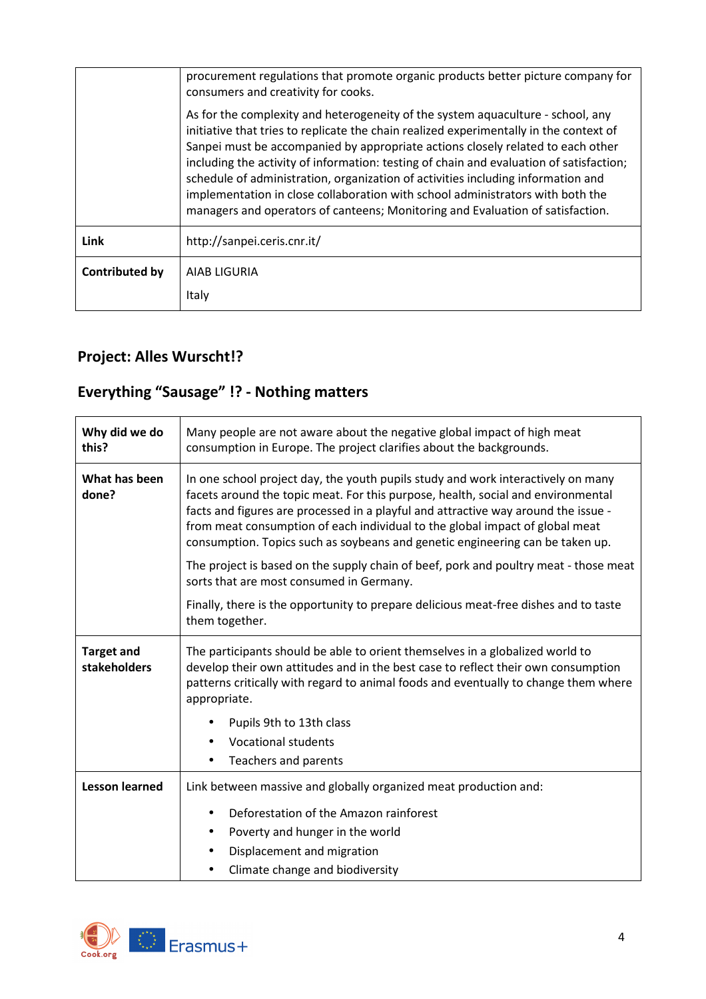|                | procurement regulations that promote organic products better picture company for<br>consumers and creativity for cooks.                                                                                                                                                                                                                                                                                                                                                                                                                                                                                         |
|----------------|-----------------------------------------------------------------------------------------------------------------------------------------------------------------------------------------------------------------------------------------------------------------------------------------------------------------------------------------------------------------------------------------------------------------------------------------------------------------------------------------------------------------------------------------------------------------------------------------------------------------|
|                | As for the complexity and heterogeneity of the system aquaculture - school, any<br>initiative that tries to replicate the chain realized experimentally in the context of<br>Sanpei must be accompanied by appropriate actions closely related to each other<br>including the activity of information: testing of chain and evaluation of satisfaction;<br>schedule of administration, organization of activities including information and<br>implementation in close collaboration with school administrators with both the<br>managers and operators of canteens; Monitoring and Evaluation of satisfaction. |
| Link           | http://sanpei.ceris.cnr.it/                                                                                                                                                                                                                                                                                                                                                                                                                                                                                                                                                                                     |
| Contributed by | AIAB LIGURIA                                                                                                                                                                                                                                                                                                                                                                                                                                                                                                                                                                                                    |
|                | Italy                                                                                                                                                                                                                                                                                                                                                                                                                                                                                                                                                                                                           |

# **Project: Alles Wurscht!?**

# **Everything "Sausage" !? - Nothing matters**

| Why did we do<br>this?                   | Many people are not aware about the negative global impact of high meat<br>consumption in Europe. The project clarifies about the backgrounds.                                                                                                                                                                                                                                                                              |
|------------------------------------------|-----------------------------------------------------------------------------------------------------------------------------------------------------------------------------------------------------------------------------------------------------------------------------------------------------------------------------------------------------------------------------------------------------------------------------|
| What has been<br>done?                   | In one school project day, the youth pupils study and work interactively on many<br>facets around the topic meat. For this purpose, health, social and environmental<br>facts and figures are processed in a playful and attractive way around the issue -<br>from meat consumption of each individual to the global impact of global meat<br>consumption. Topics such as soybeans and genetic engineering can be taken up. |
|                                          | The project is based on the supply chain of beef, pork and poultry meat - those meat<br>sorts that are most consumed in Germany.                                                                                                                                                                                                                                                                                            |
|                                          | Finally, there is the opportunity to prepare delicious meat-free dishes and to taste<br>them together.                                                                                                                                                                                                                                                                                                                      |
| <b>Target and</b><br><b>stakeholders</b> | The participants should be able to orient themselves in a globalized world to<br>develop their own attitudes and in the best case to reflect their own consumption<br>patterns critically with regard to animal foods and eventually to change them where<br>appropriate.                                                                                                                                                   |
|                                          | Pupils 9th to 13th class                                                                                                                                                                                                                                                                                                                                                                                                    |
|                                          | <b>Vocational students</b>                                                                                                                                                                                                                                                                                                                                                                                                  |
|                                          | Teachers and parents                                                                                                                                                                                                                                                                                                                                                                                                        |
| <b>Lesson learned</b>                    | Link between massive and globally organized meat production and:                                                                                                                                                                                                                                                                                                                                                            |
|                                          | Deforestation of the Amazon rainforest                                                                                                                                                                                                                                                                                                                                                                                      |
|                                          | Poverty and hunger in the world                                                                                                                                                                                                                                                                                                                                                                                             |
|                                          | Displacement and migration                                                                                                                                                                                                                                                                                                                                                                                                  |
|                                          | Climate change and biodiversity                                                                                                                                                                                                                                                                                                                                                                                             |

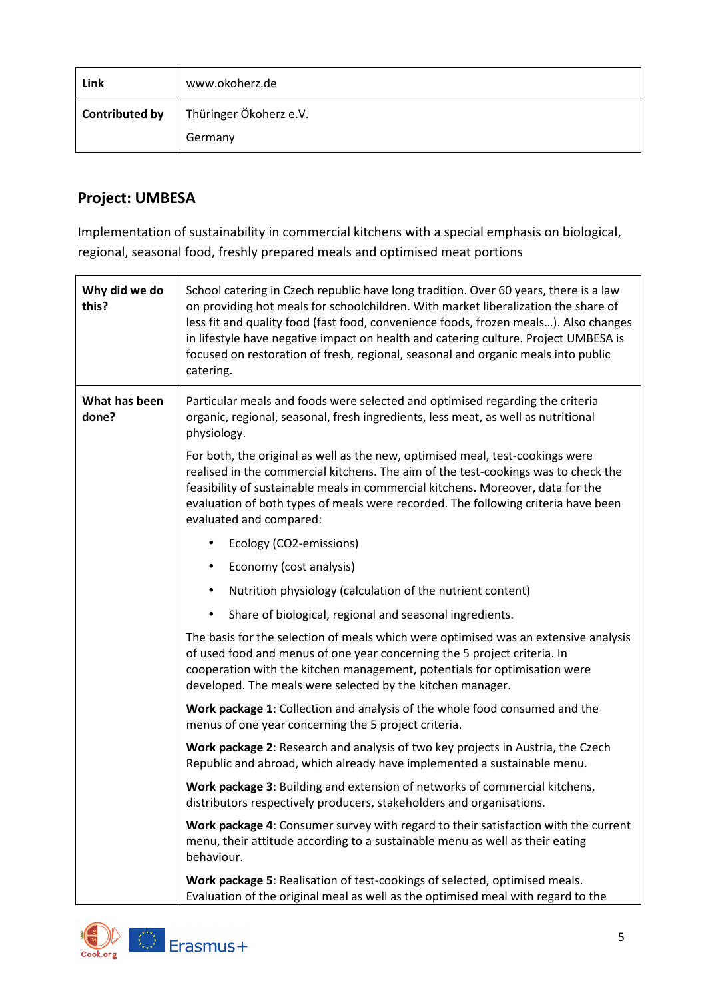| Link                  | www.okoherz.de         |
|-----------------------|------------------------|
| <b>Contributed by</b> | Thüringer Ökoherz e.V. |
|                       | Germany                |

#### **Project: UMBESA**

Implementation of sustainability in commercial kitchens with a special emphasis on biological, regional, seasonal food, freshly prepared meals and optimised meat portions

| Why did we do<br>this? | School catering in Czech republic have long tradition. Over 60 years, there is a law<br>on providing hot meals for schoolchildren. With market liberalization the share of<br>less fit and quality food (fast food, convenience foods, frozen meals). Also changes<br>in lifestyle have negative impact on health and catering culture. Project UMBESA is<br>focused on restoration of fresh, regional, seasonal and organic meals into public<br>catering. |
|------------------------|-------------------------------------------------------------------------------------------------------------------------------------------------------------------------------------------------------------------------------------------------------------------------------------------------------------------------------------------------------------------------------------------------------------------------------------------------------------|
| What has been<br>done? | Particular meals and foods were selected and optimised regarding the criteria<br>organic, regional, seasonal, fresh ingredients, less meat, as well as nutritional<br>physiology.                                                                                                                                                                                                                                                                           |
|                        | For both, the original as well as the new, optimised meal, test-cookings were<br>realised in the commercial kitchens. The aim of the test-cookings was to check the<br>feasibility of sustainable meals in commercial kitchens. Moreover, data for the<br>evaluation of both types of meals were recorded. The following criteria have been<br>evaluated and compared:                                                                                      |
|                        | Ecology (CO2-emissions)                                                                                                                                                                                                                                                                                                                                                                                                                                     |
|                        | Economy (cost analysis)<br>$\bullet$                                                                                                                                                                                                                                                                                                                                                                                                                        |
|                        | Nutrition physiology (calculation of the nutrient content)                                                                                                                                                                                                                                                                                                                                                                                                  |
|                        | Share of biological, regional and seasonal ingredients.                                                                                                                                                                                                                                                                                                                                                                                                     |
|                        | The basis for the selection of meals which were optimised was an extensive analysis<br>of used food and menus of one year concerning the 5 project criteria. In<br>cooperation with the kitchen management, potentials for optimisation were<br>developed. The meals were selected by the kitchen manager.                                                                                                                                                  |
|                        | Work package 1: Collection and analysis of the whole food consumed and the<br>menus of one year concerning the 5 project criteria.                                                                                                                                                                                                                                                                                                                          |
|                        | Work package 2: Research and analysis of two key projects in Austria, the Czech<br>Republic and abroad, which already have implemented a sustainable menu.                                                                                                                                                                                                                                                                                                  |
|                        | Work package 3: Building and extension of networks of commercial kitchens,<br>distributors respectively producers, stakeholders and organisations.                                                                                                                                                                                                                                                                                                          |
|                        | Work package 4: Consumer survey with regard to their satisfaction with the current<br>menu, their attitude according to a sustainable menu as well as their eating<br>behaviour.                                                                                                                                                                                                                                                                            |
|                        | Work package 5: Realisation of test-cookings of selected, optimised meals.<br>Evaluation of the original meal as well as the optimised meal with regard to the                                                                                                                                                                                                                                                                                              |

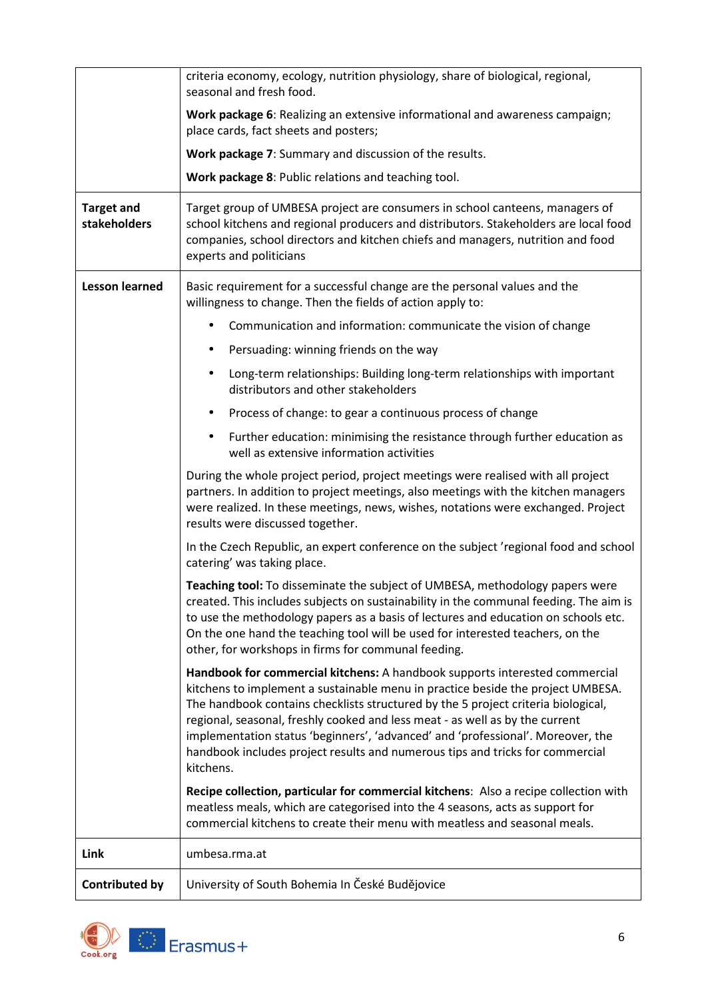|                                   | criteria economy, ecology, nutrition physiology, share of biological, regional,<br>seasonal and fresh food.                                                                                                                                                                                                                                                                                                                                                                                                          |
|-----------------------------------|----------------------------------------------------------------------------------------------------------------------------------------------------------------------------------------------------------------------------------------------------------------------------------------------------------------------------------------------------------------------------------------------------------------------------------------------------------------------------------------------------------------------|
|                                   | Work package 6: Realizing an extensive informational and awareness campaign;<br>place cards, fact sheets and posters;                                                                                                                                                                                                                                                                                                                                                                                                |
|                                   | Work package 7: Summary and discussion of the results.                                                                                                                                                                                                                                                                                                                                                                                                                                                               |
|                                   | Work package 8: Public relations and teaching tool.                                                                                                                                                                                                                                                                                                                                                                                                                                                                  |
| <b>Target and</b><br>stakeholders | Target group of UMBESA project are consumers in school canteens, managers of<br>school kitchens and regional producers and distributors. Stakeholders are local food<br>companies, school directors and kitchen chiefs and managers, nutrition and food<br>experts and politicians                                                                                                                                                                                                                                   |
| <b>Lesson learned</b>             | Basic requirement for a successful change are the personal values and the<br>willingness to change. Then the fields of action apply to:                                                                                                                                                                                                                                                                                                                                                                              |
|                                   | Communication and information: communicate the vision of change<br>$\bullet$                                                                                                                                                                                                                                                                                                                                                                                                                                         |
|                                   | Persuading: winning friends on the way                                                                                                                                                                                                                                                                                                                                                                                                                                                                               |
|                                   | Long-term relationships: Building long-term relationships with important<br>distributors and other stakeholders                                                                                                                                                                                                                                                                                                                                                                                                      |
|                                   | Process of change: to gear a continuous process of change                                                                                                                                                                                                                                                                                                                                                                                                                                                            |
|                                   | Further education: minimising the resistance through further education as<br>well as extensive information activities                                                                                                                                                                                                                                                                                                                                                                                                |
|                                   | During the whole project period, project meetings were realised with all project<br>partners. In addition to project meetings, also meetings with the kitchen managers<br>were realized. In these meetings, news, wishes, notations were exchanged. Project<br>results were discussed together.                                                                                                                                                                                                                      |
|                                   | In the Czech Republic, an expert conference on the subject 'regional food and school<br>catering' was taking place.                                                                                                                                                                                                                                                                                                                                                                                                  |
|                                   | Teaching tool: To disseminate the subject of UMBESA, methodology papers were<br>created. This includes subjects on sustainability in the communal feeding. The aim is<br>to use the methodology papers as a basis of lectures and education on schools etc.<br>On the one hand the teaching tool will be used for interested teachers, on the<br>other, for workshops in firms for communal feeding.                                                                                                                 |
|                                   | Handbook for commercial kitchens: A handbook supports interested commercial<br>kitchens to implement a sustainable menu in practice beside the project UMBESA.<br>The handbook contains checklists structured by the 5 project criteria biological,<br>regional, seasonal, freshly cooked and less meat - as well as by the current<br>implementation status 'beginners', 'advanced' and 'professional'. Moreover, the<br>handbook includes project results and numerous tips and tricks for commercial<br>kitchens. |
|                                   | Recipe collection, particular for commercial kitchens: Also a recipe collection with<br>meatless meals, which are categorised into the 4 seasons, acts as support for<br>commercial kitchens to create their menu with meatless and seasonal meals.                                                                                                                                                                                                                                                                  |
| Link                              | umbesa.rma.at                                                                                                                                                                                                                                                                                                                                                                                                                                                                                                        |
| <b>Contributed by</b>             | University of South Bohemia In České Budějovice                                                                                                                                                                                                                                                                                                                                                                                                                                                                      |

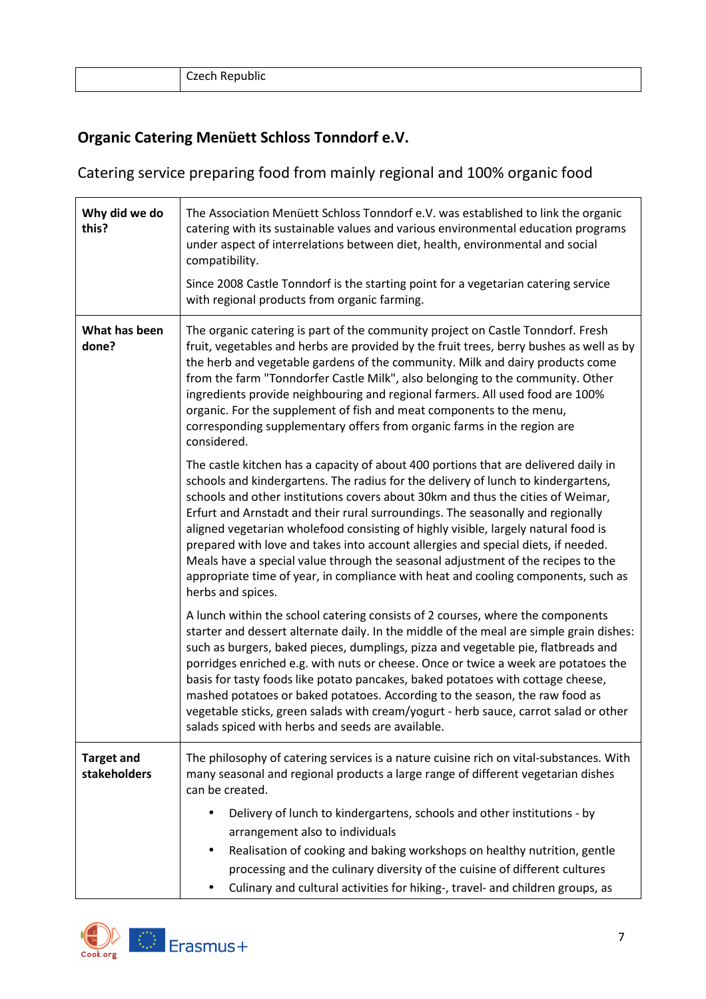| . .<br>$\sim$<br>Czech Republic<br>---- |
|-----------------------------------------|
|-----------------------------------------|

#### **Organic Catering Menüett Schloss Tonndorf e.V.**

Catering service preparing food from mainly regional and 100% organic food

| Why did we do<br>this?            | The Association Menüett Schloss Tonndorf e.V. was established to link the organic<br>catering with its sustainable values and various environmental education programs<br>under aspect of interrelations between diet, health, environmental and social<br>compatibility.<br>Since 2008 Castle Tonndorf is the starting point for a vegetarian catering service<br>with regional products from organic farming.                                                                                                                                                                                                                                                                                                         |
|-----------------------------------|-------------------------------------------------------------------------------------------------------------------------------------------------------------------------------------------------------------------------------------------------------------------------------------------------------------------------------------------------------------------------------------------------------------------------------------------------------------------------------------------------------------------------------------------------------------------------------------------------------------------------------------------------------------------------------------------------------------------------|
| What has been<br>done?            | The organic catering is part of the community project on Castle Tonndorf. Fresh<br>fruit, vegetables and herbs are provided by the fruit trees, berry bushes as well as by<br>the herb and vegetable gardens of the community. Milk and dairy products come<br>from the farm "Tonndorfer Castle Milk", also belonging to the community. Other<br>ingredients provide neighbouring and regional farmers. All used food are 100%<br>organic. For the supplement of fish and meat components to the menu,<br>corresponding supplementary offers from organic farms in the region are<br>considered.                                                                                                                        |
|                                   | The castle kitchen has a capacity of about 400 portions that are delivered daily in<br>schools and kindergartens. The radius for the delivery of lunch to kindergartens,<br>schools and other institutions covers about 30km and thus the cities of Weimar,<br>Erfurt and Arnstadt and their rural surroundings. The seasonally and regionally<br>aligned vegetarian wholefood consisting of highly visible, largely natural food is<br>prepared with love and takes into account allergies and special diets, if needed.<br>Meals have a special value through the seasonal adjustment of the recipes to the<br>appropriate time of year, in compliance with heat and cooling components, such as<br>herbs and spices. |
|                                   | A lunch within the school catering consists of 2 courses, where the components<br>starter and dessert alternate daily. In the middle of the meal are simple grain dishes:<br>such as burgers, baked pieces, dumplings, pizza and vegetable pie, flatbreads and<br>porridges enriched e.g. with nuts or cheese. Once or twice a week are potatoes the<br>basis for tasty foods like potato pancakes, baked potatoes with cottage cheese,<br>mashed potatoes or baked potatoes. According to the season, the raw food as<br>vegetable sticks, green salads with cream/yogurt - herb sauce, carrot salad or other<br>salads spiced with herbs and seeds are available.                                                     |
| <b>Target and</b><br>stakeholders | The philosophy of catering services is a nature cuisine rich on vital-substances. With<br>many seasonal and regional products a large range of different vegetarian dishes<br>can be created.                                                                                                                                                                                                                                                                                                                                                                                                                                                                                                                           |
|                                   | Delivery of lunch to kindergartens, schools and other institutions - by<br>arrangement also to individuals<br>Realisation of cooking and baking workshops on healthy nutrition, gentle<br>processing and the culinary diversity of the cuisine of different cultures<br>Culinary and cultural activities for hiking-, travel- and children groups, as<br>٠                                                                                                                                                                                                                                                                                                                                                              |

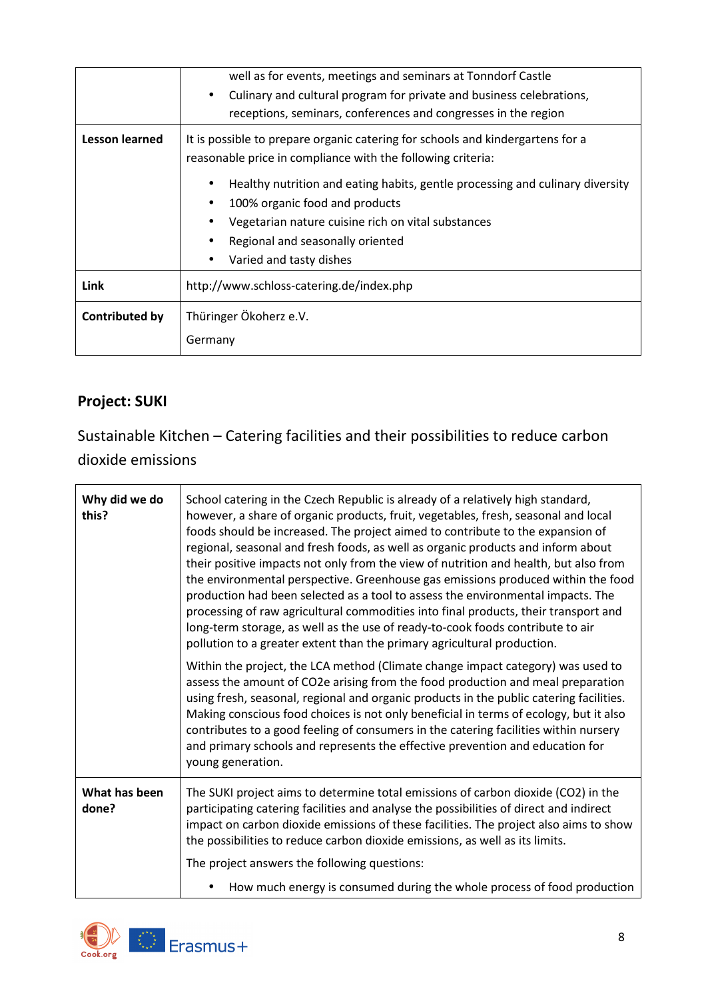|                | well as for events, meetings and seminars at Tonndorf Castle<br>Culinary and cultural program for private and business celebrations,<br>$\bullet$<br>receptions, seminars, conferences and congresses in the region                                                                                                                                                                   |
|----------------|---------------------------------------------------------------------------------------------------------------------------------------------------------------------------------------------------------------------------------------------------------------------------------------------------------------------------------------------------------------------------------------|
| Lesson learned | It is possible to prepare organic catering for schools and kindergartens for a<br>reasonable price in compliance with the following criteria:<br>Healthy nutrition and eating habits, gentle processing and culinary diversity<br>100% organic food and products<br>Vegetarian nature cuisine rich on vital substances<br>Regional and seasonally oriented<br>Varied and tasty dishes |
| Link           | http://www.schloss-catering.de/index.php                                                                                                                                                                                                                                                                                                                                              |
| Contributed by | Thüringer Ökoherz e.V.<br>Germany                                                                                                                                                                                                                                                                                                                                                     |

# **Project: SUKI**

Sustainable Kitchen – Catering facilities and their possibilities to reduce carbon dioxide emissions

| Why did we do<br>this? | School catering in the Czech Republic is already of a relatively high standard,<br>however, a share of organic products, fruit, vegetables, fresh, seasonal and local<br>foods should be increased. The project aimed to contribute to the expansion of<br>regional, seasonal and fresh foods, as well as organic products and inform about<br>their positive impacts not only from the view of nutrition and health, but also from<br>the environmental perspective. Greenhouse gas emissions produced within the food<br>production had been selected as a tool to assess the environmental impacts. The<br>processing of raw agricultural commodities into final products, their transport and<br>long-term storage, as well as the use of ready-to-cook foods contribute to air<br>pollution to a greater extent than the primary agricultural production. |
|------------------------|----------------------------------------------------------------------------------------------------------------------------------------------------------------------------------------------------------------------------------------------------------------------------------------------------------------------------------------------------------------------------------------------------------------------------------------------------------------------------------------------------------------------------------------------------------------------------------------------------------------------------------------------------------------------------------------------------------------------------------------------------------------------------------------------------------------------------------------------------------------|
|                        | Within the project, the LCA method (Climate change impact category) was used to<br>assess the amount of CO2e arising from the food production and meal preparation<br>using fresh, seasonal, regional and organic products in the public catering facilities.<br>Making conscious food choices is not only beneficial in terms of ecology, but it also<br>contributes to a good feeling of consumers in the catering facilities within nursery<br>and primary schools and represents the effective prevention and education for<br>young generation.                                                                                                                                                                                                                                                                                                           |
| What has been<br>done? | The SUKI project aims to determine total emissions of carbon dioxide (CO2) in the<br>participating catering facilities and analyse the possibilities of direct and indirect<br>impact on carbon dioxide emissions of these facilities. The project also aims to show<br>the possibilities to reduce carbon dioxide emissions, as well as its limits.<br>The project answers the following questions:<br>How much energy is consumed during the whole process of food production                                                                                                                                                                                                                                                                                                                                                                                |

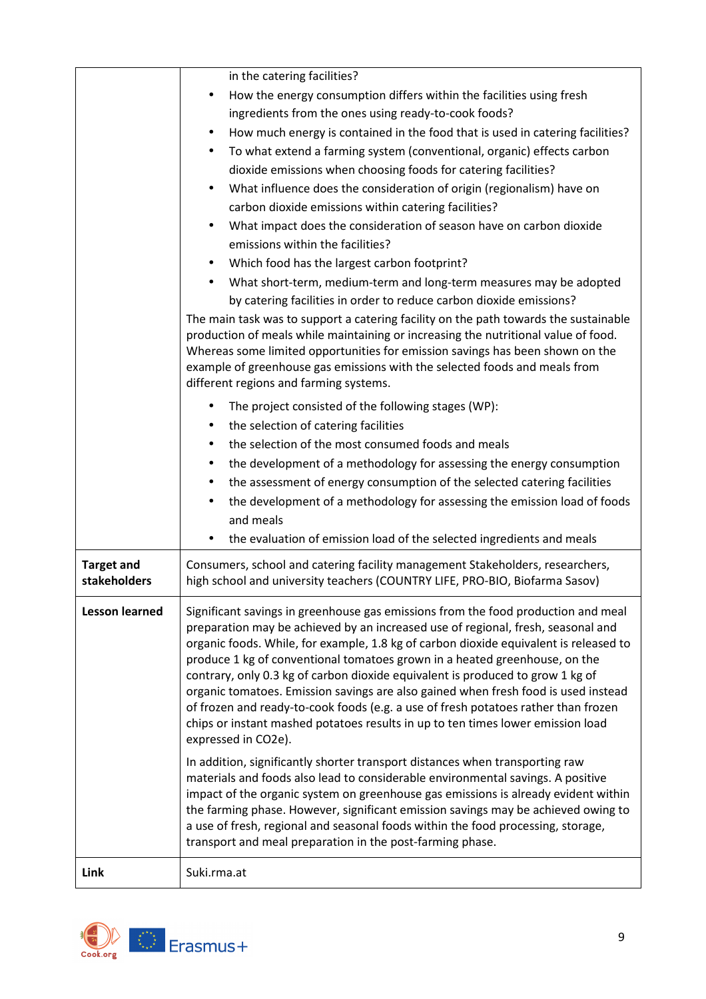|                       | in the catering facilities?                                                                                                                                           |
|-----------------------|-----------------------------------------------------------------------------------------------------------------------------------------------------------------------|
|                       | How the energy consumption differs within the facilities using fresh                                                                                                  |
|                       | ingredients from the ones using ready-to-cook foods?                                                                                                                  |
|                       | How much energy is contained in the food that is used in catering facilities?                                                                                         |
|                       | To what extend a farming system (conventional, organic) effects carbon                                                                                                |
|                       | dioxide emissions when choosing foods for catering facilities?                                                                                                        |
|                       | What influence does the consideration of origin (regionalism) have on                                                                                                 |
|                       | carbon dioxide emissions within catering facilities?                                                                                                                  |
|                       | What impact does the consideration of season have on carbon dioxide                                                                                                   |
|                       | emissions within the facilities?                                                                                                                                      |
|                       | Which food has the largest carbon footprint?                                                                                                                          |
|                       | What short-term, medium-term and long-term measures may be adopted                                                                                                    |
|                       | by catering facilities in order to reduce carbon dioxide emissions?                                                                                                   |
|                       | The main task was to support a catering facility on the path towards the sustainable                                                                                  |
|                       | production of meals while maintaining or increasing the nutritional value of food.                                                                                    |
|                       | Whereas some limited opportunities for emission savings has been shown on the<br>example of greenhouse gas emissions with the selected foods and meals from           |
|                       | different regions and farming systems.                                                                                                                                |
|                       | The project consisted of the following stages (WP):                                                                                                                   |
|                       | the selection of catering facilities                                                                                                                                  |
|                       | the selection of the most consumed foods and meals<br>$\bullet$                                                                                                       |
|                       | the development of a methodology for assessing the energy consumption<br>٠                                                                                            |
|                       | the assessment of energy consumption of the selected catering facilities                                                                                              |
|                       | the development of a methodology for assessing the emission load of foods                                                                                             |
|                       | and meals                                                                                                                                                             |
|                       | the evaluation of emission load of the selected ingredients and meals                                                                                                 |
| <b>Target and</b>     | Consumers, school and catering facility management Stakeholders, researchers,                                                                                         |
| stakeholders          | high school and university teachers (COUNTRY LIFE, PRO-BIO, Biofarma Sasov)                                                                                           |
| <b>Lesson learned</b> | Significant savings in greenhouse gas emissions from the food production and meal                                                                                     |
|                       | preparation may be achieved by an increased use of regional, fresh, seasonal and                                                                                      |
|                       | organic foods. While, for example, 1.8 kg of carbon dioxide equivalent is released to                                                                                 |
|                       | produce 1 kg of conventional tomatoes grown in a heated greenhouse, on the<br>contrary, only 0.3 kg of carbon dioxide equivalent is produced to grow 1 kg of          |
|                       | organic tomatoes. Emission savings are also gained when fresh food is used instead                                                                                    |
|                       | of frozen and ready-to-cook foods (e.g. a use of fresh potatoes rather than frozen                                                                                    |
|                       | chips or instant mashed potatoes results in up to ten times lower emission load                                                                                       |
|                       | expressed in CO2e).                                                                                                                                                   |
|                       | In addition, significantly shorter transport distances when transporting raw                                                                                          |
|                       | materials and foods also lead to considerable environmental savings. A positive<br>impact of the organic system on greenhouse gas emissions is already evident within |
|                       | the farming phase. However, significant emission savings may be achieved owing to                                                                                     |
|                       | a use of fresh, regional and seasonal foods within the food processing, storage,                                                                                      |
|                       | transport and meal preparation in the post-farming phase.                                                                                                             |
|                       |                                                                                                                                                                       |

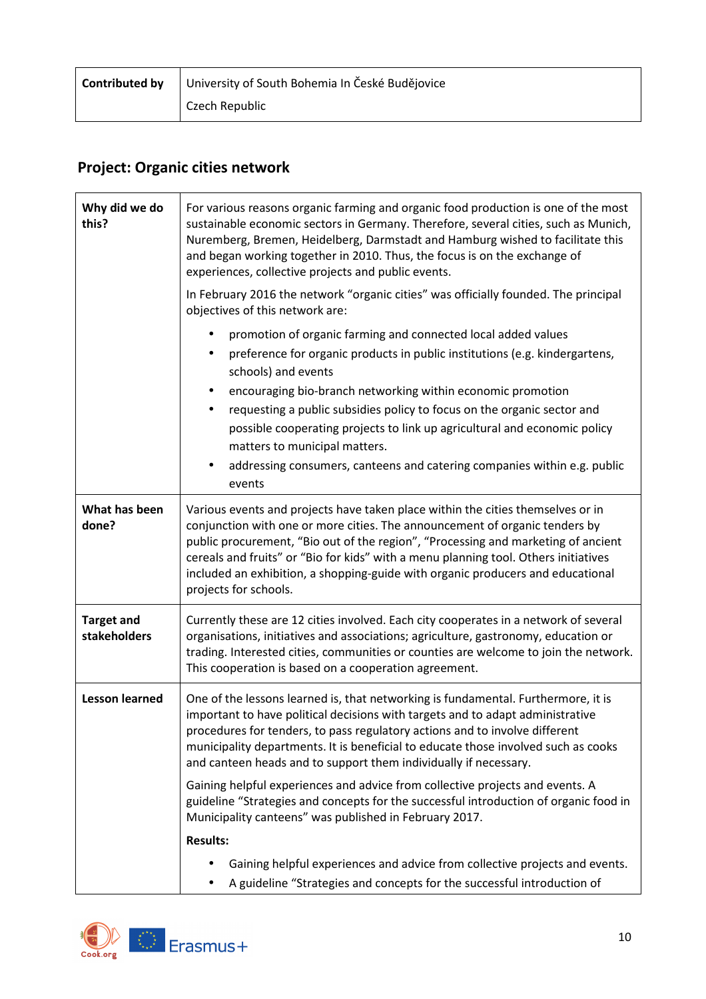| Contributed by   University of South Bohemia In České Budějovice |
|------------------------------------------------------------------|
| Czech Republic                                                   |

# **Project: Organic cities network**

| Why did we do<br>this?            | For various reasons organic farming and organic food production is one of the most<br>sustainable economic sectors in Germany. Therefore, several cities, such as Munich,<br>Nuremberg, Bremen, Heidelberg, Darmstadt and Hamburg wished to facilitate this<br>and began working together in 2010. Thus, the focus is on the exchange of<br>experiences, collective projects and public events.<br>In February 2016 the network "organic cities" was officially founded. The principal<br>objectives of this network are: |
|-----------------------------------|---------------------------------------------------------------------------------------------------------------------------------------------------------------------------------------------------------------------------------------------------------------------------------------------------------------------------------------------------------------------------------------------------------------------------------------------------------------------------------------------------------------------------|
|                                   | promotion of organic farming and connected local added values<br>preference for organic products in public institutions (e.g. kindergartens,<br>schools) and events<br>encouraging bio-branch networking within economic promotion<br>requesting a public subsidies policy to focus on the organic sector and<br>possible cooperating projects to link up agricultural and economic policy<br>matters to municipal matters.<br>addressing consumers, canteens and catering companies within e.g. public<br>events         |
| What has been<br>done?            | Various events and projects have taken place within the cities themselves or in<br>conjunction with one or more cities. The announcement of organic tenders by<br>public procurement, "Bio out of the region", "Processing and marketing of ancient<br>cereals and fruits" or "Bio for kids" with a menu planning tool. Others initiatives<br>included an exhibition, a shopping-guide with organic producers and educational<br>projects for schools.                                                                    |
| <b>Target and</b><br>stakeholders | Currently these are 12 cities involved. Each city cooperates in a network of several<br>organisations, initiatives and associations; agriculture, gastronomy, education or<br>trading. Interested cities, communities or counties are welcome to join the network.<br>This cooperation is based on a cooperation agreement.                                                                                                                                                                                               |
| <b>Lesson learned</b>             | One of the lessons learned is, that networking is fundamental. Furthermore, it is<br>important to have political decisions with targets and to adapt administrative<br>procedures for tenders, to pass regulatory actions and to involve different<br>municipality departments. It is beneficial to educate those involved such as cooks<br>and canteen heads and to support them individually if necessary.                                                                                                              |
|                                   | Gaining helpful experiences and advice from collective projects and events. A<br>guideline "Strategies and concepts for the successful introduction of organic food in<br>Municipality canteens" was published in February 2017.                                                                                                                                                                                                                                                                                          |
|                                   | <b>Results:</b>                                                                                                                                                                                                                                                                                                                                                                                                                                                                                                           |
|                                   | Gaining helpful experiences and advice from collective projects and events.<br>A guideline "Strategies and concepts for the successful introduction of                                                                                                                                                                                                                                                                                                                                                                    |

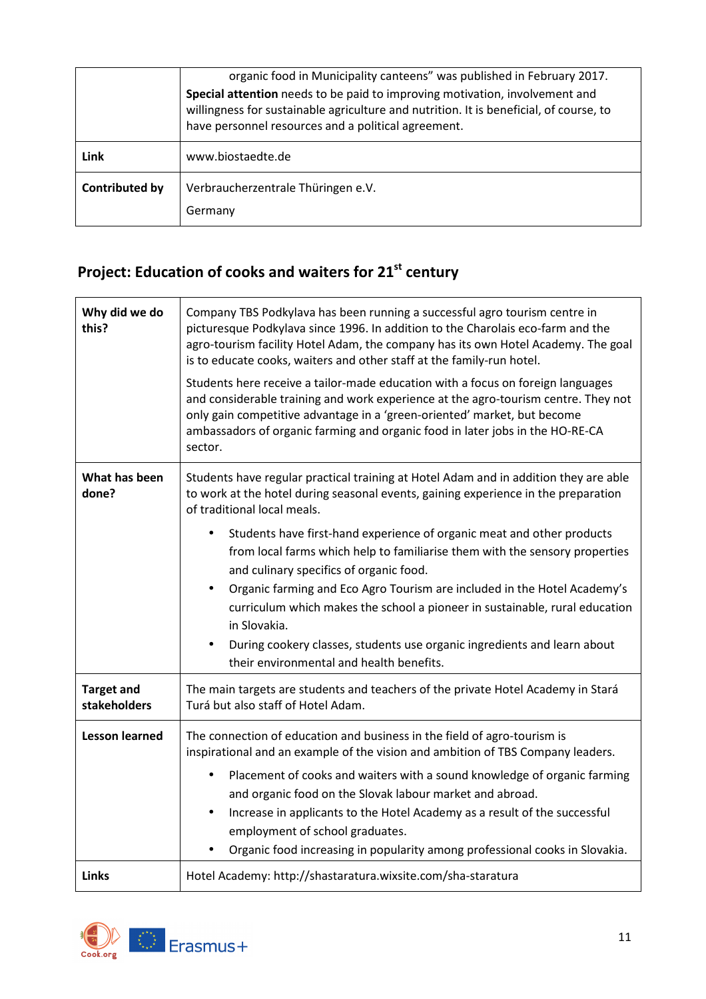|                | organic food in Municipality canteens" was published in February 2017.                                                                                                                                                       |
|----------------|------------------------------------------------------------------------------------------------------------------------------------------------------------------------------------------------------------------------------|
|                | Special attention needs to be paid to improving motivation, involvement and<br>willingness for sustainable agriculture and nutrition. It is beneficial, of course, to<br>have personnel resources and a political agreement. |
| Link           | www.biostaedte.de                                                                                                                                                                                                            |
| Contributed by | Verbraucherzentrale Thüringen e.V.<br>Germany                                                                                                                                                                                |

# **Project: Education of cooks and waiters for 21st century**

| Why did we do<br>this?            | Company TBS Podkylava has been running a successful agro tourism centre in<br>picturesque Podkylava since 1996. In addition to the Charolais eco-farm and the<br>agro-tourism facility Hotel Adam, the company has its own Hotel Academy. The goal<br>is to educate cooks, waiters and other staff at the family-run hotel.<br>Students here receive a tailor-made education with a focus on foreign languages<br>and considerable training and work experience at the agro-tourism centre. They not<br>only gain competitive advantage in a 'green-oriented' market, but become<br>ambassadors of organic farming and organic food in later jobs in the HO-RE-CA<br>sector. |
|-----------------------------------|------------------------------------------------------------------------------------------------------------------------------------------------------------------------------------------------------------------------------------------------------------------------------------------------------------------------------------------------------------------------------------------------------------------------------------------------------------------------------------------------------------------------------------------------------------------------------------------------------------------------------------------------------------------------------|
| What has been<br>done?            | Students have regular practical training at Hotel Adam and in addition they are able<br>to work at the hotel during seasonal events, gaining experience in the preparation<br>of traditional local meals.                                                                                                                                                                                                                                                                                                                                                                                                                                                                    |
|                                   | Students have first-hand experience of organic meat and other products<br>from local farms which help to familiarise them with the sensory properties<br>and culinary specifics of organic food.<br>Organic farming and Eco Agro Tourism are included in the Hotel Academy's<br>$\bullet$<br>curriculum which makes the school a pioneer in sustainable, rural education<br>in Slovakia.<br>During cookery classes, students use organic ingredients and learn about<br>$\bullet$<br>their environmental and health benefits.                                                                                                                                                |
| <b>Target and</b><br>stakeholders | The main targets are students and teachers of the private Hotel Academy in Stará<br>Turá but also staff of Hotel Adam.                                                                                                                                                                                                                                                                                                                                                                                                                                                                                                                                                       |
| <b>Lesson learned</b>             | The connection of education and business in the field of agro-tourism is<br>inspirational and an example of the vision and ambition of TBS Company leaders.<br>Placement of cooks and waiters with a sound knowledge of organic farming<br>٠<br>and organic food on the Slovak labour market and abroad.<br>Increase in applicants to the Hotel Academy as a result of the successful<br>$\bullet$<br>employment of school graduates.<br>Organic food increasing in popularity among professional cooks in Slovakia.<br>$\bullet$                                                                                                                                            |
| <b>Links</b>                      | Hotel Academy: http://shastaratura.wixsite.com/sha-staratura                                                                                                                                                                                                                                                                                                                                                                                                                                                                                                                                                                                                                 |

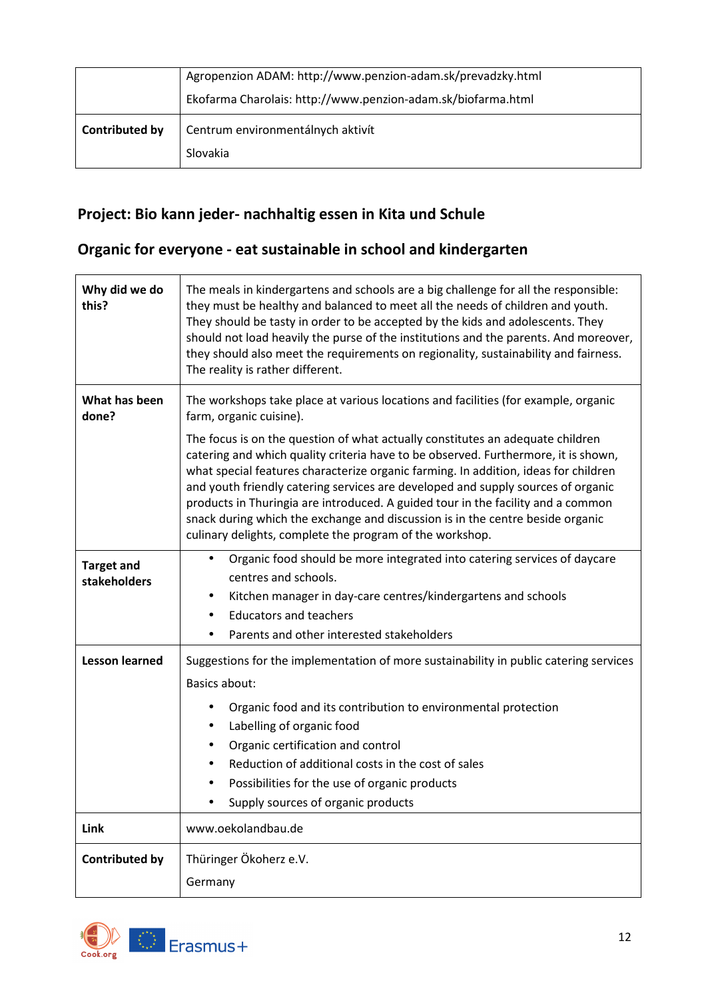|                       | Agropenzion ADAM: http://www.penzion-adam.sk/prevadzky.html<br>Ekofarma Charolais: http://www.penzion-adam.sk/biofarma.html |
|-----------------------|-----------------------------------------------------------------------------------------------------------------------------|
| <b>Contributed by</b> | Centrum environmentálnych aktivít<br>Slovakia                                                                               |

#### **Project: Bio kann jeder- nachhaltig essen in Kita und Schule**

## **Organic for everyone - eat sustainable in school and kindergarten**

| Why did we do<br>this?            | The meals in kindergartens and schools are a big challenge for all the responsible:<br>they must be healthy and balanced to meet all the needs of children and youth.<br>They should be tasty in order to be accepted by the kids and adolescents. They<br>should not load heavily the purse of the institutions and the parents. And moreover,<br>they should also meet the requirements on regionality, sustainability and fairness.<br>The reality is rather different.                                                                                                        |
|-----------------------------------|-----------------------------------------------------------------------------------------------------------------------------------------------------------------------------------------------------------------------------------------------------------------------------------------------------------------------------------------------------------------------------------------------------------------------------------------------------------------------------------------------------------------------------------------------------------------------------------|
| What has been<br>done?            | The workshops take place at various locations and facilities (for example, organic<br>farm, organic cuisine).                                                                                                                                                                                                                                                                                                                                                                                                                                                                     |
|                                   | The focus is on the question of what actually constitutes an adequate children<br>catering and which quality criteria have to be observed. Furthermore, it is shown,<br>what special features characterize organic farming. In addition, ideas for children<br>and youth friendly catering services are developed and supply sources of organic<br>products in Thuringia are introduced. A guided tour in the facility and a common<br>snack during which the exchange and discussion is in the centre beside organic<br>culinary delights, complete the program of the workshop. |
| <b>Target and</b><br>stakeholders | Organic food should be more integrated into catering services of daycare<br>centres and schools.<br>Kitchen manager in day-care centres/kindergartens and schools<br><b>Educators and teachers</b><br>Parents and other interested stakeholders                                                                                                                                                                                                                                                                                                                                   |
| <b>Lesson learned</b>             | Suggestions for the implementation of more sustainability in public catering services<br>Basics about:<br>Organic food and its contribution to environmental protection<br>Labelling of organic food<br>Organic certification and control<br>Reduction of additional costs in the cost of sales<br>Possibilities for the use of organic products<br>Supply sources of organic products                                                                                                                                                                                            |
| Link                              | www.oekolandbau.de                                                                                                                                                                                                                                                                                                                                                                                                                                                                                                                                                                |
| <b>Contributed by</b>             | Thüringer Ökoherz e.V.<br>Germany                                                                                                                                                                                                                                                                                                                                                                                                                                                                                                                                                 |

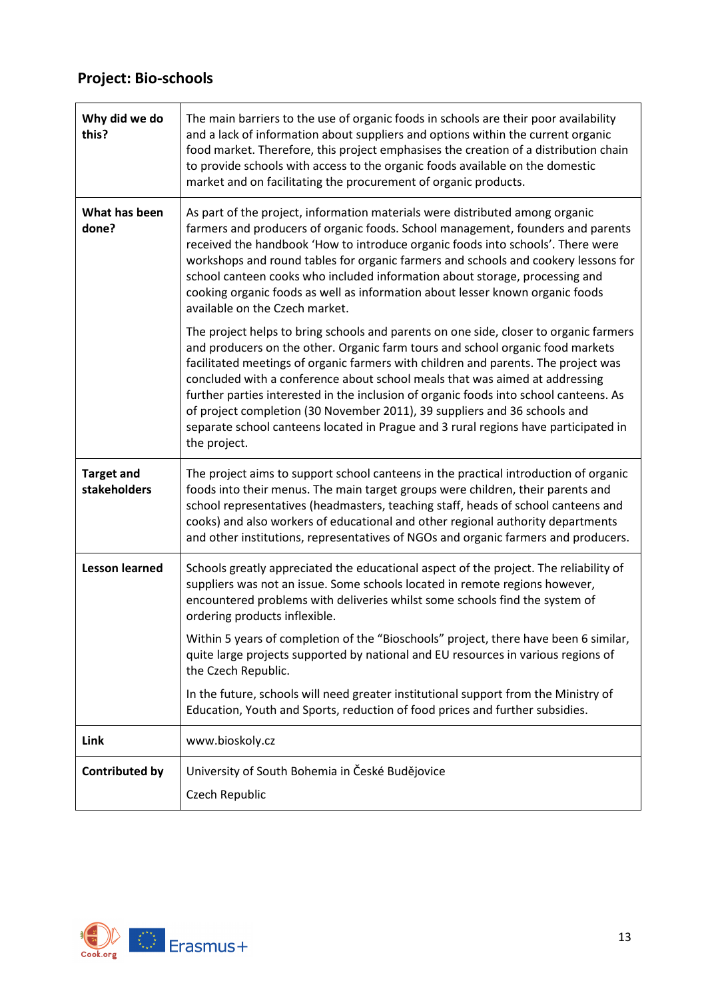# **Project: Bio-schools**

| Why did we do<br>this?            | The main barriers to the use of organic foods in schools are their poor availability<br>and a lack of information about suppliers and options within the current organic<br>food market. Therefore, this project emphasises the creation of a distribution chain<br>to provide schools with access to the organic foods available on the domestic<br>market and on facilitating the procurement of organic products.                                                                                                                                                                                                      |
|-----------------------------------|---------------------------------------------------------------------------------------------------------------------------------------------------------------------------------------------------------------------------------------------------------------------------------------------------------------------------------------------------------------------------------------------------------------------------------------------------------------------------------------------------------------------------------------------------------------------------------------------------------------------------|
| What has been<br>done?            | As part of the project, information materials were distributed among organic<br>farmers and producers of organic foods. School management, founders and parents<br>received the handbook 'How to introduce organic foods into schools'. There were<br>workshops and round tables for organic farmers and schools and cookery lessons for<br>school canteen cooks who included information about storage, processing and<br>cooking organic foods as well as information about lesser known organic foods<br>available on the Czech market.                                                                                |
|                                   | The project helps to bring schools and parents on one side, closer to organic farmers<br>and producers on the other. Organic farm tours and school organic food markets<br>facilitated meetings of organic farmers with children and parents. The project was<br>concluded with a conference about school meals that was aimed at addressing<br>further parties interested in the inclusion of organic foods into school canteens. As<br>of project completion (30 November 2011), 39 suppliers and 36 schools and<br>separate school canteens located in Prague and 3 rural regions have participated in<br>the project. |
| <b>Target and</b><br>stakeholders | The project aims to support school canteens in the practical introduction of organic<br>foods into their menus. The main target groups were children, their parents and<br>school representatives (headmasters, teaching staff, heads of school canteens and<br>cooks) and also workers of educational and other regional authority departments<br>and other institutions, representatives of NGOs and organic farmers and producers.                                                                                                                                                                                     |
| <b>Lesson learned</b>             | Schools greatly appreciated the educational aspect of the project. The reliability of<br>suppliers was not an issue. Some schools located in remote regions however,<br>encountered problems with deliveries whilst some schools find the system of<br>ordering products inflexible.                                                                                                                                                                                                                                                                                                                                      |
|                                   | Within 5 years of completion of the "Bioschools" project, there have been 6 similar,<br>quite large projects supported by national and EU resources in various regions of<br>the Czech Republic.                                                                                                                                                                                                                                                                                                                                                                                                                          |
|                                   | In the future, schools will need greater institutional support from the Ministry of<br>Education, Youth and Sports, reduction of food prices and further subsidies.                                                                                                                                                                                                                                                                                                                                                                                                                                                       |
| Link                              | www.bioskoly.cz                                                                                                                                                                                                                                                                                                                                                                                                                                                                                                                                                                                                           |
| <b>Contributed by</b>             | University of South Bohemia in České Budějovice<br>Czech Republic                                                                                                                                                                                                                                                                                                                                                                                                                                                                                                                                                         |

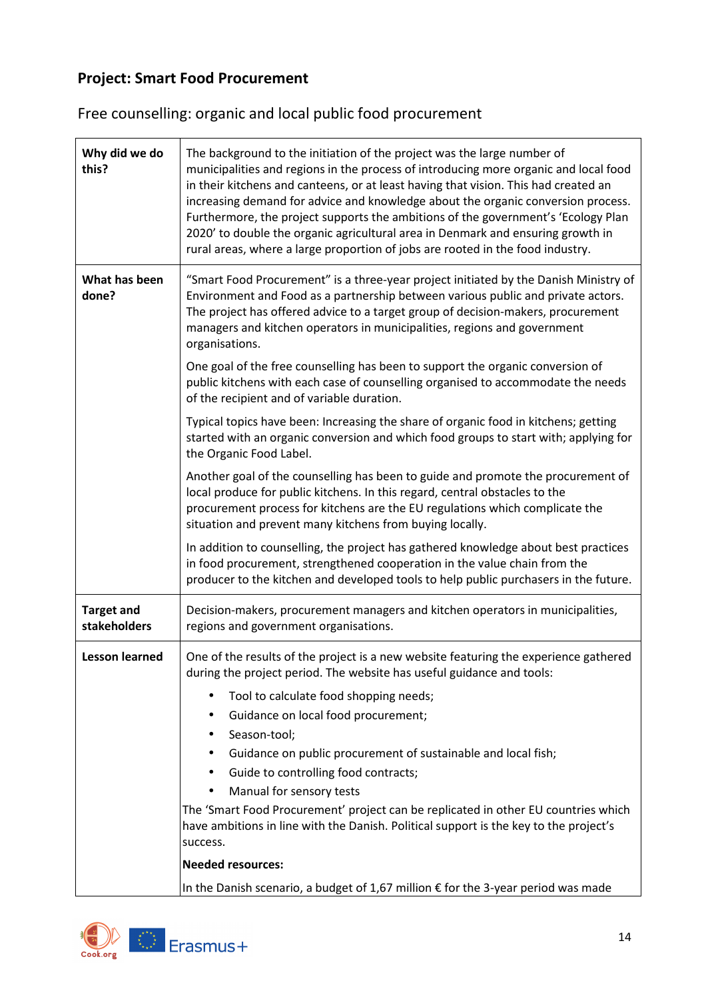# **Project: Smart Food Procurement**

Free counselling: organic and local public food procurement

| Why did we do<br>this?            | The background to the initiation of the project was the large number of<br>municipalities and regions in the process of introducing more organic and local food<br>in their kitchens and canteens, or at least having that vision. This had created an<br>increasing demand for advice and knowledge about the organic conversion process.<br>Furthermore, the project supports the ambitions of the government's 'Ecology Plan<br>2020' to double the organic agricultural area in Denmark and ensuring growth in<br>rural areas, where a large proportion of jobs are rooted in the food industry.                                                        |
|-----------------------------------|-------------------------------------------------------------------------------------------------------------------------------------------------------------------------------------------------------------------------------------------------------------------------------------------------------------------------------------------------------------------------------------------------------------------------------------------------------------------------------------------------------------------------------------------------------------------------------------------------------------------------------------------------------------|
| What has been<br>done?            | "Smart Food Procurement" is a three-year project initiated by the Danish Ministry of<br>Environment and Food as a partnership between various public and private actors.<br>The project has offered advice to a target group of decision-makers, procurement<br>managers and kitchen operators in municipalities, regions and government<br>organisations.                                                                                                                                                                                                                                                                                                  |
|                                   | One goal of the free counselling has been to support the organic conversion of<br>public kitchens with each case of counselling organised to accommodate the needs<br>of the recipient and of variable duration.                                                                                                                                                                                                                                                                                                                                                                                                                                            |
|                                   | Typical topics have been: Increasing the share of organic food in kitchens; getting<br>started with an organic conversion and which food groups to start with; applying for<br>the Organic Food Label.                                                                                                                                                                                                                                                                                                                                                                                                                                                      |
|                                   | Another goal of the counselling has been to guide and promote the procurement of<br>local produce for public kitchens. In this regard, central obstacles to the<br>procurement process for kitchens are the EU regulations which complicate the<br>situation and prevent many kitchens from buying locally.                                                                                                                                                                                                                                                                                                                                                 |
|                                   | In addition to counselling, the project has gathered knowledge about best practices<br>in food procurement, strengthened cooperation in the value chain from the<br>producer to the kitchen and developed tools to help public purchasers in the future.                                                                                                                                                                                                                                                                                                                                                                                                    |
| <b>Target and</b><br>stakeholders | Decision-makers, procurement managers and kitchen operators in municipalities,<br>regions and government organisations.                                                                                                                                                                                                                                                                                                                                                                                                                                                                                                                                     |
| <b>Lesson learned</b>             | One of the results of the project is a new website featuring the experience gathered<br>during the project period. The website has useful guidance and tools:<br>Tool to calculate food shopping needs;<br>$\bullet$<br>Guidance on local food procurement;<br>٠<br>Season-tool;<br>٠<br>Guidance on public procurement of sustainable and local fish;<br>Guide to controlling food contracts;<br>٠<br>Manual for sensory tests<br>٠<br>The 'Smart Food Procurement' project can be replicated in other EU countries which<br>have ambitions in line with the Danish. Political support is the key to the project's<br>success.<br><b>Needed resources:</b> |
|                                   | In the Danish scenario, a budget of 1,67 million € for the 3-year period was made                                                                                                                                                                                                                                                                                                                                                                                                                                                                                                                                                                           |

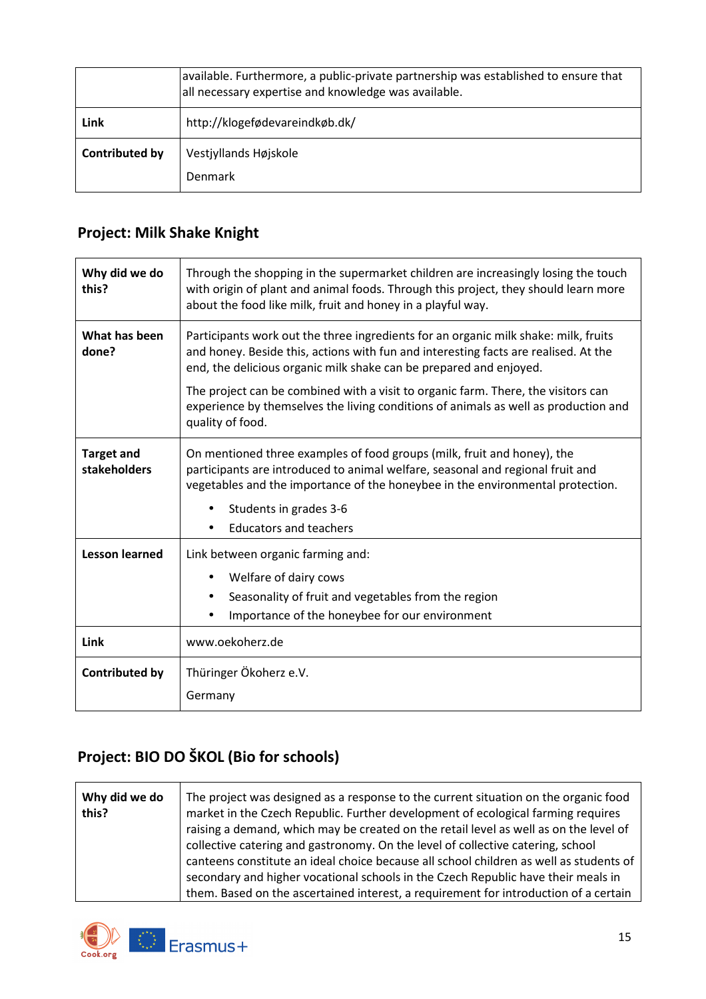|                | available. Furthermore, a public-private partnership was established to ensure that<br>all necessary expertise and knowledge was available. |
|----------------|---------------------------------------------------------------------------------------------------------------------------------------------|
| Link           | http://klogefødevareindkøb.dk/                                                                                                              |
| Contributed by | Vestiyllands Højskole<br>Denmark                                                                                                            |

# **Project: Milk Shake Knight**

| Why did we do<br>this?                   | Through the shopping in the supermarket children are increasingly losing the touch<br>with origin of plant and animal foods. Through this project, they should learn more<br>about the food like milk, fruit and honey in a playful way.                                                                                                                                                                                                         |
|------------------------------------------|--------------------------------------------------------------------------------------------------------------------------------------------------------------------------------------------------------------------------------------------------------------------------------------------------------------------------------------------------------------------------------------------------------------------------------------------------|
| What has been<br>done?                   | Participants work out the three ingredients for an organic milk shake: milk, fruits<br>and honey. Beside this, actions with fun and interesting facts are realised. At the<br>end, the delicious organic milk shake can be prepared and enjoyed.<br>The project can be combined with a visit to organic farm. There, the visitors can<br>experience by themselves the living conditions of animals as well as production and<br>quality of food. |
| <b>Target and</b><br><b>stakeholders</b> | On mentioned three examples of food groups (milk, fruit and honey), the<br>participants are introduced to animal welfare, seasonal and regional fruit and<br>vegetables and the importance of the honeybee in the environmental protection.<br>Students in grades 3-6<br><b>Educators and teachers</b>                                                                                                                                           |
| <b>Lesson learned</b>                    | Link between organic farming and:<br>Welfare of dairy cows<br>Seasonality of fruit and vegetables from the region<br>Importance of the honeybee for our environment                                                                                                                                                                                                                                                                              |
| Link                                     | www.oekoherz.de                                                                                                                                                                                                                                                                                                                                                                                                                                  |
| <b>Contributed by</b>                    | Thüringer Ökoherz e.V.<br>Germany                                                                                                                                                                                                                                                                                                                                                                                                                |

# **Project: BIO DO ŠKOL (Bio for schools)**

| Why did we do<br>this? | The project was designed as a response to the current situation on the organic food<br>market in the Czech Republic. Further development of ecological farming requires<br>raising a demand, which may be created on the retail level as well as on the level of<br>collective catering and gastronomy. On the level of collective catering, school<br>canteens constitute an ideal choice because all school children as well as students of |
|------------------------|-----------------------------------------------------------------------------------------------------------------------------------------------------------------------------------------------------------------------------------------------------------------------------------------------------------------------------------------------------------------------------------------------------------------------------------------------|
|                        | secondary and higher vocational schools in the Czech Republic have their meals in                                                                                                                                                                                                                                                                                                                                                             |
|                        | them. Based on the ascertained interest, a requirement for introduction of a certain                                                                                                                                                                                                                                                                                                                                                          |

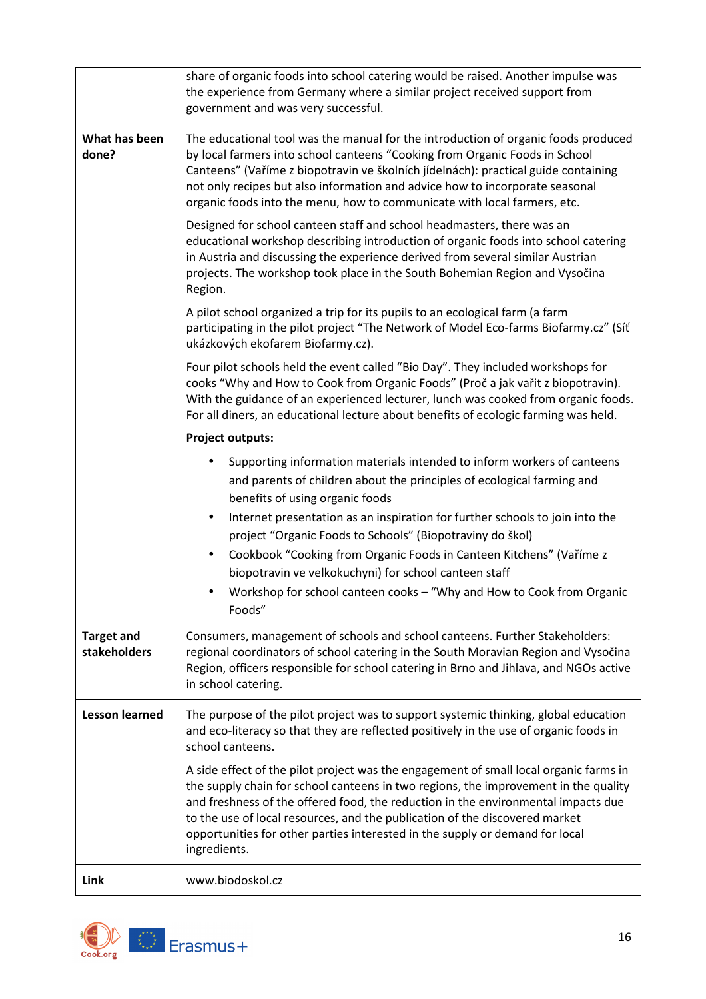|                                   | share of organic foods into school catering would be raised. Another impulse was<br>the experience from Germany where a similar project received support from<br>government and was very successful.                                                                                                                                                                                                                                             |
|-----------------------------------|--------------------------------------------------------------------------------------------------------------------------------------------------------------------------------------------------------------------------------------------------------------------------------------------------------------------------------------------------------------------------------------------------------------------------------------------------|
| What has been<br>done?            | The educational tool was the manual for the introduction of organic foods produced<br>by local farmers into school canteens "Cooking from Organic Foods in School<br>Canteens" (Vaříme z biopotravin ve školních jídelnách): practical guide containing<br>not only recipes but also information and advice how to incorporate seasonal<br>organic foods into the menu, how to communicate with local farmers, etc.                              |
|                                   | Designed for school canteen staff and school headmasters, there was an<br>educational workshop describing introduction of organic foods into school catering<br>in Austria and discussing the experience derived from several similar Austrian<br>projects. The workshop took place in the South Bohemian Region and Vysočina<br>Region.                                                                                                         |
|                                   | A pilot school organized a trip for its pupils to an ecological farm (a farm<br>participating in the pilot project "The Network of Model Eco-farms Biofarmy.cz" (Síť<br>ukázkových ekofarem Biofarmy.cz).                                                                                                                                                                                                                                        |
|                                   | Four pilot schools held the event called "Bio Day". They included workshops for<br>cooks "Why and How to Cook from Organic Foods" (Proč a jak vařit z biopotravin).<br>With the guidance of an experienced lecturer, lunch was cooked from organic foods.<br>For all diners, an educational lecture about benefits of ecologic farming was held.                                                                                                 |
|                                   | <b>Project outputs:</b>                                                                                                                                                                                                                                                                                                                                                                                                                          |
|                                   | Supporting information materials intended to inform workers of canteens<br>and parents of children about the principles of ecological farming and<br>benefits of using organic foods                                                                                                                                                                                                                                                             |
|                                   | Internet presentation as an inspiration for further schools to join into the<br>$\bullet$<br>project "Organic Foods to Schools" (Biopotraviny do škol)<br>Cookbook "Cooking from Organic Foods in Canteen Kitchens" (Vaříme z                                                                                                                                                                                                                    |
|                                   | biopotravin ve velkokuchyni) for school canteen staff                                                                                                                                                                                                                                                                                                                                                                                            |
|                                   | Workshop for school canteen cooks - "Why and How to Cook from Organic<br>Foods"                                                                                                                                                                                                                                                                                                                                                                  |
| <b>Target and</b><br>stakeholders | Consumers, management of schools and school canteens. Further Stakeholders:<br>regional coordinators of school catering in the South Moravian Region and Vysočina<br>Region, officers responsible for school catering in Brno and Jihlava, and NGOs active<br>in school catering.                                                                                                                                                                |
| Lesson learned                    | The purpose of the pilot project was to support systemic thinking, global education<br>and eco-literacy so that they are reflected positively in the use of organic foods in<br>school canteens.                                                                                                                                                                                                                                                 |
|                                   | A side effect of the pilot project was the engagement of small local organic farms in<br>the supply chain for school canteens in two regions, the improvement in the quality<br>and freshness of the offered food, the reduction in the environmental impacts due<br>to the use of local resources, and the publication of the discovered market<br>opportunities for other parties interested in the supply or demand for local<br>ingredients. |
| Link                              | www.biodoskol.cz                                                                                                                                                                                                                                                                                                                                                                                                                                 |

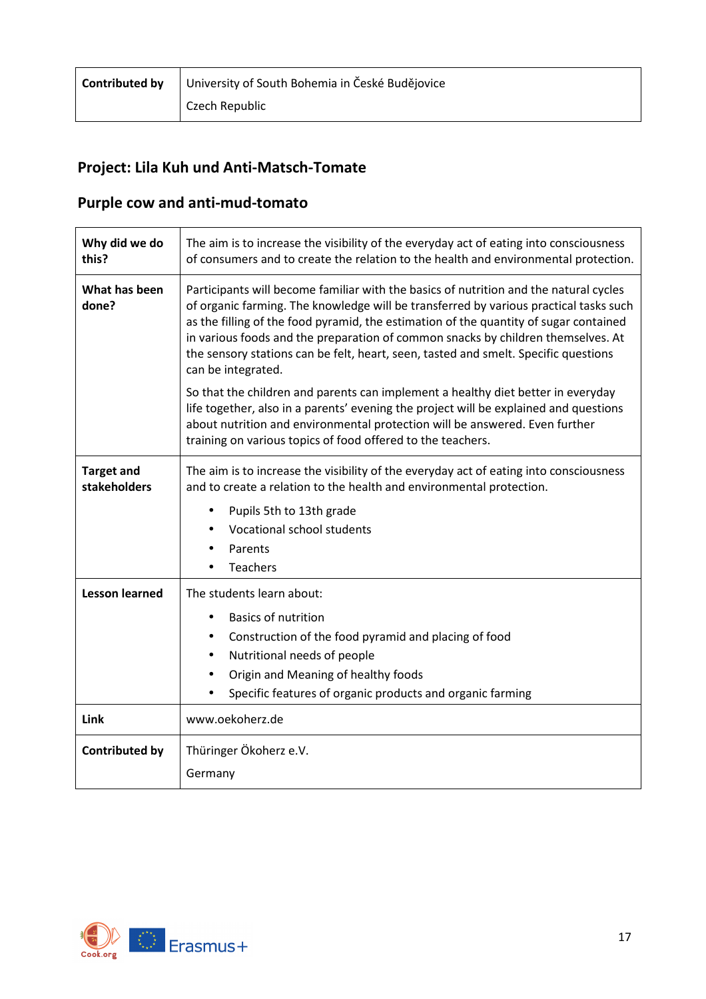| <b>Contributed by</b> University of South Bohemia in České Budějovice |
|-----------------------------------------------------------------------|
| Czech Republic                                                        |

# **Project: Lila Kuh und Anti-Matsch-Tomate**

#### **Purple cow and anti-mud-tomato**

| Why did we do<br>this?            | The aim is to increase the visibility of the everyday act of eating into consciousness<br>of consumers and to create the relation to the health and environmental protection.                                                                                                                                                                                                                                                                                            |
|-----------------------------------|--------------------------------------------------------------------------------------------------------------------------------------------------------------------------------------------------------------------------------------------------------------------------------------------------------------------------------------------------------------------------------------------------------------------------------------------------------------------------|
| What has been<br>done?            | Participants will become familiar with the basics of nutrition and the natural cycles<br>of organic farming. The knowledge will be transferred by various practical tasks such<br>as the filling of the food pyramid, the estimation of the quantity of sugar contained<br>in various foods and the preparation of common snacks by children themselves. At<br>the sensory stations can be felt, heart, seen, tasted and smelt. Specific questions<br>can be integrated. |
|                                   | So that the children and parents can implement a healthy diet better in everyday<br>life together, also in a parents' evening the project will be explained and questions<br>about nutrition and environmental protection will be answered. Even further<br>training on various topics of food offered to the teachers.                                                                                                                                                  |
| <b>Target and</b><br>stakeholders | The aim is to increase the visibility of the everyday act of eating into consciousness<br>and to create a relation to the health and environmental protection.                                                                                                                                                                                                                                                                                                           |
|                                   | Pupils 5th to 13th grade                                                                                                                                                                                                                                                                                                                                                                                                                                                 |
|                                   | Vocational school students<br>Parents                                                                                                                                                                                                                                                                                                                                                                                                                                    |
|                                   | <b>Teachers</b>                                                                                                                                                                                                                                                                                                                                                                                                                                                          |
| <b>Lesson learned</b>             | The students learn about:                                                                                                                                                                                                                                                                                                                                                                                                                                                |
|                                   | <b>Basics of nutrition</b>                                                                                                                                                                                                                                                                                                                                                                                                                                               |
|                                   | Construction of the food pyramid and placing of food                                                                                                                                                                                                                                                                                                                                                                                                                     |
|                                   | Nutritional needs of people                                                                                                                                                                                                                                                                                                                                                                                                                                              |
|                                   | Origin and Meaning of healthy foods                                                                                                                                                                                                                                                                                                                                                                                                                                      |
|                                   | Specific features of organic products and organic farming                                                                                                                                                                                                                                                                                                                                                                                                                |
| Link                              | www.oekoherz.de                                                                                                                                                                                                                                                                                                                                                                                                                                                          |
| <b>Contributed by</b>             | Thüringer Ökoherz e.V.                                                                                                                                                                                                                                                                                                                                                                                                                                                   |
|                                   | Germany                                                                                                                                                                                                                                                                                                                                                                                                                                                                  |

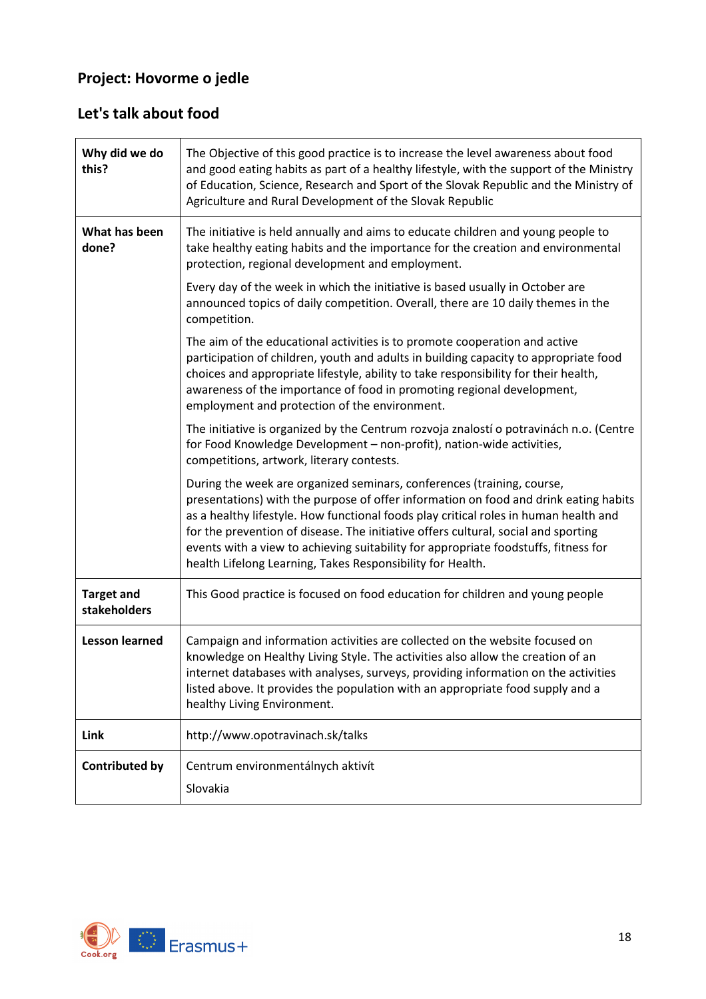# **Project: Hovorme o jedle**

#### **Let's talk about food**

| Why did we do<br>this?            | The Objective of this good practice is to increase the level awareness about food<br>and good eating habits as part of a healthy lifestyle, with the support of the Ministry<br>of Education, Science, Research and Sport of the Slovak Republic and the Ministry of<br>Agriculture and Rural Development of the Slovak Republic                                                                                                                                                                  |
|-----------------------------------|---------------------------------------------------------------------------------------------------------------------------------------------------------------------------------------------------------------------------------------------------------------------------------------------------------------------------------------------------------------------------------------------------------------------------------------------------------------------------------------------------|
| What has been<br>done?            | The initiative is held annually and aims to educate children and young people to<br>take healthy eating habits and the importance for the creation and environmental<br>protection, regional development and employment.                                                                                                                                                                                                                                                                          |
|                                   | Every day of the week in which the initiative is based usually in October are<br>announced topics of daily competition. Overall, there are 10 daily themes in the<br>competition.                                                                                                                                                                                                                                                                                                                 |
|                                   | The aim of the educational activities is to promote cooperation and active<br>participation of children, youth and adults in building capacity to appropriate food<br>choices and appropriate lifestyle, ability to take responsibility for their health,<br>awareness of the importance of food in promoting regional development,<br>employment and protection of the environment.                                                                                                              |
|                                   | The initiative is organized by the Centrum rozvoja znalostí o potravinách n.o. (Centre<br>for Food Knowledge Development - non-profit), nation-wide activities,<br>competitions, artwork, literary contests.                                                                                                                                                                                                                                                                                      |
|                                   | During the week are organized seminars, conferences (training, course,<br>presentations) with the purpose of offer information on food and drink eating habits<br>as a healthy lifestyle. How functional foods play critical roles in human health and<br>for the prevention of disease. The initiative offers cultural, social and sporting<br>events with a view to achieving suitability for appropriate foodstuffs, fitness for<br>health Lifelong Learning, Takes Responsibility for Health. |
| <b>Target and</b><br>stakeholders | This Good practice is focused on food education for children and young people                                                                                                                                                                                                                                                                                                                                                                                                                     |
| <b>Lesson learned</b>             | Campaign and information activities are collected on the website focused on<br>knowledge on Healthy Living Style. The activities also allow the creation of an<br>internet databases with analyses, surveys, providing information on the activities<br>listed above. It provides the population with an appropriate food supply and a<br>healthy Living Environment.                                                                                                                             |
| Link                              | http://www.opotravinach.sk/talks                                                                                                                                                                                                                                                                                                                                                                                                                                                                  |
| <b>Contributed by</b>             | Centrum environmentálnych aktivít<br>Slovakia                                                                                                                                                                                                                                                                                                                                                                                                                                                     |

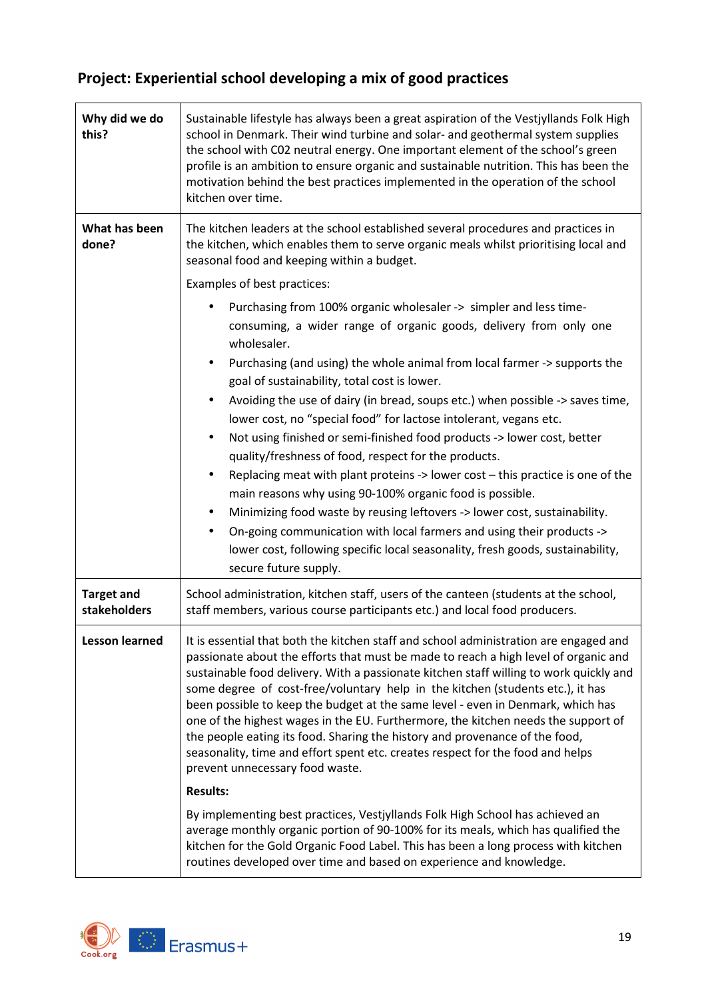# **Project: Experiential school developing a mix of good practices**

| Why did we do<br>this?            | Sustainable lifestyle has always been a great aspiration of the Vestjyllands Folk High<br>school in Denmark. Their wind turbine and solar- and geothermal system supplies<br>the school with CO2 neutral energy. One important element of the school's green<br>profile is an ambition to ensure organic and sustainable nutrition. This has been the<br>motivation behind the best practices implemented in the operation of the school<br>kitchen over time.                                                                                                                                                                                                                                                                                                                                                                                                                                                                                                                                          |
|-----------------------------------|---------------------------------------------------------------------------------------------------------------------------------------------------------------------------------------------------------------------------------------------------------------------------------------------------------------------------------------------------------------------------------------------------------------------------------------------------------------------------------------------------------------------------------------------------------------------------------------------------------------------------------------------------------------------------------------------------------------------------------------------------------------------------------------------------------------------------------------------------------------------------------------------------------------------------------------------------------------------------------------------------------|
| What has been<br>done?            | The kitchen leaders at the school established several procedures and practices in<br>the kitchen, which enables them to serve organic meals whilst prioritising local and<br>seasonal food and keeping within a budget.                                                                                                                                                                                                                                                                                                                                                                                                                                                                                                                                                                                                                                                                                                                                                                                 |
|                                   | Examples of best practices:                                                                                                                                                                                                                                                                                                                                                                                                                                                                                                                                                                                                                                                                                                                                                                                                                                                                                                                                                                             |
|                                   | Purchasing from 100% organic wholesaler -> simpler and less time-<br>consuming, a wider range of organic goods, delivery from only one<br>wholesaler.<br>Purchasing (and using) the whole animal from local farmer -> supports the<br>goal of sustainability, total cost is lower.<br>Avoiding the use of dairy (in bread, soups etc.) when possible -> saves time,<br>lower cost, no "special food" for lactose intolerant, vegans etc.<br>Not using finished or semi-finished food products -> lower cost, better<br>quality/freshness of food, respect for the products.<br>Replacing meat with plant proteins $\rightarrow$ lower cost $-$ this practice is one of the<br>main reasons why using 90-100% organic food is possible.<br>Minimizing food waste by reusing leftovers -> lower cost, sustainability.<br>On-going communication with local farmers and using their products -><br>lower cost, following specific local seasonality, fresh goods, sustainability,<br>secure future supply. |
| <b>Target and</b><br>stakeholders | School administration, kitchen staff, users of the canteen (students at the school,<br>staff members, various course participants etc.) and local food producers.                                                                                                                                                                                                                                                                                                                                                                                                                                                                                                                                                                                                                                                                                                                                                                                                                                       |
| Lesson learned                    | It is essential that both the kitchen staff and school administration are engaged and<br>passionate about the efforts that must be made to reach a high level of organic and<br>sustainable food delivery. With a passionate kitchen staff willing to work quickly and<br>some degree of cost-free/voluntary help in the kitchen (students etc.), it has<br>been possible to keep the budget at the same level - even in Denmark, which has<br>one of the highest wages in the EU. Furthermore, the kitchen needs the support of<br>the people eating its food. Sharing the history and provenance of the food,<br>seasonality, time and effort spent etc. creates respect for the food and helps<br>prevent unnecessary food waste.                                                                                                                                                                                                                                                                    |
|                                   | <b>Results:</b>                                                                                                                                                                                                                                                                                                                                                                                                                                                                                                                                                                                                                                                                                                                                                                                                                                                                                                                                                                                         |
|                                   | By implementing best practices, Vestjyllands Folk High School has achieved an<br>average monthly organic portion of 90-100% for its meals, which has qualified the<br>kitchen for the Gold Organic Food Label. This has been a long process with kitchen<br>routines developed over time and based on experience and knowledge.                                                                                                                                                                                                                                                                                                                                                                                                                                                                                                                                                                                                                                                                         |

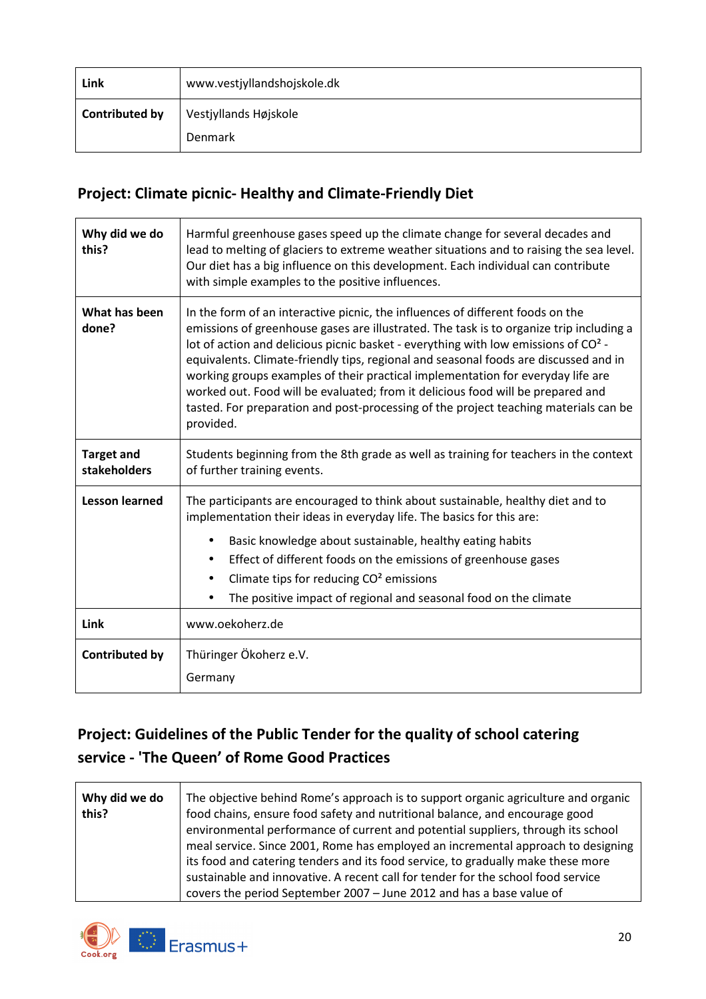| Link                  | www.vestjyllandshojskole.dk             |
|-----------------------|-----------------------------------------|
| <b>Contributed by</b> | Vestjyllands Højskole<br><b>Denmark</b> |

#### **Project: Climate picnic- Healthy and Climate-Friendly Diet**

| Why did we do<br>this?            | Harmful greenhouse gases speed up the climate change for several decades and<br>lead to melting of glaciers to extreme weather situations and to raising the sea level.<br>Our diet has a big influence on this development. Each individual can contribute<br>with simple examples to the positive influences.                                                                                                                                                                                                                                                                                                                                |
|-----------------------------------|------------------------------------------------------------------------------------------------------------------------------------------------------------------------------------------------------------------------------------------------------------------------------------------------------------------------------------------------------------------------------------------------------------------------------------------------------------------------------------------------------------------------------------------------------------------------------------------------------------------------------------------------|
| What has been<br>done?            | In the form of an interactive picnic, the influences of different foods on the<br>emissions of greenhouse gases are illustrated. The task is to organize trip including a<br>lot of action and delicious picnic basket - everything with low emissions of CO <sup>2</sup> -<br>equivalents. Climate-friendly tips, regional and seasonal foods are discussed and in<br>working groups examples of their practical implementation for everyday life are<br>worked out. Food will be evaluated; from it delicious food will be prepared and<br>tasted. For preparation and post-processing of the project teaching materials can be<br>provided. |
| <b>Target and</b><br>stakeholders | Students beginning from the 8th grade as well as training for teachers in the context<br>of further training events.                                                                                                                                                                                                                                                                                                                                                                                                                                                                                                                           |
| <b>Lesson learned</b>             | The participants are encouraged to think about sustainable, healthy diet and to<br>implementation their ideas in everyday life. The basics for this are:<br>Basic knowledge about sustainable, healthy eating habits<br>Effect of different foods on the emissions of greenhouse gases<br>$\bullet$<br>Climate tips for reducing $CO2$ emissions<br>$\bullet$<br>The positive impact of regional and seasonal food on the climate                                                                                                                                                                                                              |
| Link                              | www.oekoherz.de                                                                                                                                                                                                                                                                                                                                                                                                                                                                                                                                                                                                                                |
| <b>Contributed by</b>             | Thüringer Ökoherz e.V.<br>Germany                                                                                                                                                                                                                                                                                                                                                                                                                                                                                                                                                                                                              |

# **Project: Guidelines of the Public Tender for the quality of school catering service - 'The Queen' of Rome Good Practices**

| Why did we do<br>this? | The objective behind Rome's approach is to support organic agriculture and organic<br>food chains, ensure food safety and nutritional balance, and encourage good<br>environmental performance of current and potential suppliers, through its school<br>meal service. Since 2001, Rome has employed an incremental approach to designing<br>its food and catering tenders and its food service, to gradually make these more |
|------------------------|-------------------------------------------------------------------------------------------------------------------------------------------------------------------------------------------------------------------------------------------------------------------------------------------------------------------------------------------------------------------------------------------------------------------------------|
|                        | sustainable and innovative. A recent call for tender for the school food service<br>covers the period September 2007 - June 2012 and has a base value of                                                                                                                                                                                                                                                                      |

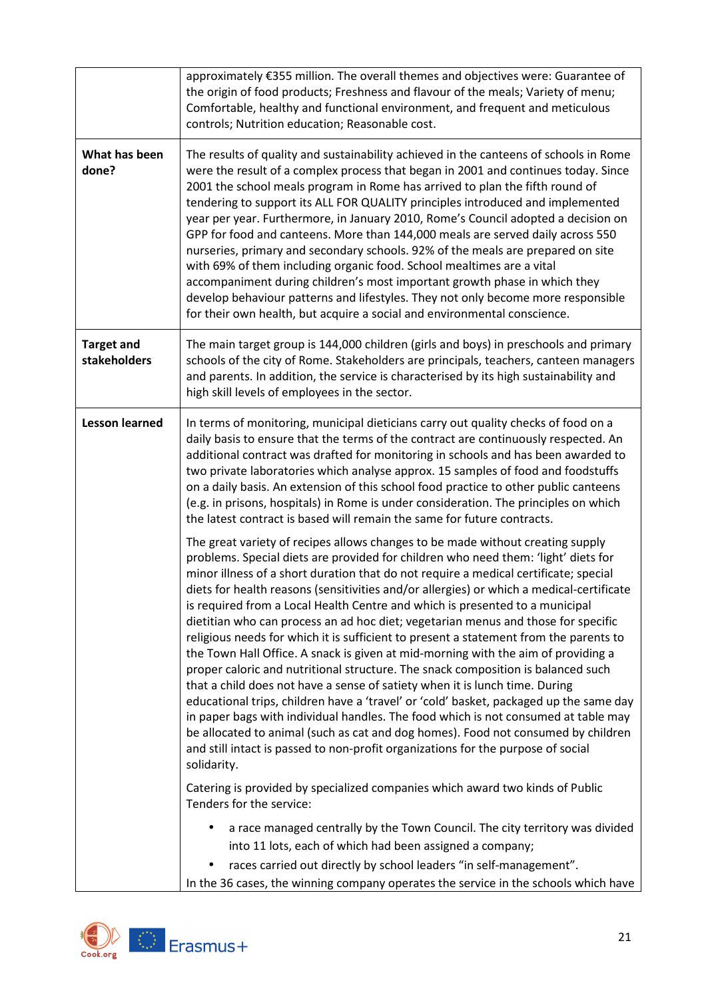|                                   | approximately €355 million. The overall themes and objectives were: Guarantee of<br>the origin of food products; Freshness and flavour of the meals; Variety of menu;<br>Comfortable, healthy and functional environment, and frequent and meticulous<br>controls; Nutrition education; Reasonable cost.                                                                                                                                                                                                                                                                                                                                                                                                                                                                                                                                                                                                                                                                                                                                                                                                                                                                                                                                               |
|-----------------------------------|--------------------------------------------------------------------------------------------------------------------------------------------------------------------------------------------------------------------------------------------------------------------------------------------------------------------------------------------------------------------------------------------------------------------------------------------------------------------------------------------------------------------------------------------------------------------------------------------------------------------------------------------------------------------------------------------------------------------------------------------------------------------------------------------------------------------------------------------------------------------------------------------------------------------------------------------------------------------------------------------------------------------------------------------------------------------------------------------------------------------------------------------------------------------------------------------------------------------------------------------------------|
| What has been<br>done?            | The results of quality and sustainability achieved in the canteens of schools in Rome<br>were the result of a complex process that began in 2001 and continues today. Since<br>2001 the school meals program in Rome has arrived to plan the fifth round of<br>tendering to support its ALL FOR QUALITY principles introduced and implemented<br>year per year. Furthermore, in January 2010, Rome's Council adopted a decision on<br>GPP for food and canteens. More than 144,000 meals are served daily across 550<br>nurseries, primary and secondary schools. 92% of the meals are prepared on site<br>with 69% of them including organic food. School mealtimes are a vital<br>accompaniment during children's most important growth phase in which they<br>develop behaviour patterns and lifestyles. They not only become more responsible<br>for their own health, but acquire a social and environmental conscience.                                                                                                                                                                                                                                                                                                                          |
| <b>Target and</b><br>stakeholders | The main target group is 144,000 children (girls and boys) in preschools and primary<br>schools of the city of Rome. Stakeholders are principals, teachers, canteen managers<br>and parents. In addition, the service is characterised by its high sustainability and<br>high skill levels of employees in the sector.                                                                                                                                                                                                                                                                                                                                                                                                                                                                                                                                                                                                                                                                                                                                                                                                                                                                                                                                 |
| <b>Lesson learned</b>             | In terms of monitoring, municipal dieticians carry out quality checks of food on a<br>daily basis to ensure that the terms of the contract are continuously respected. An<br>additional contract was drafted for monitoring in schools and has been awarded to<br>two private laboratories which analyse approx. 15 samples of food and foodstuffs<br>on a daily basis. An extension of this school food practice to other public canteens<br>(e.g. in prisons, hospitals) in Rome is under consideration. The principles on which<br>the latest contract is based will remain the same for future contracts.                                                                                                                                                                                                                                                                                                                                                                                                                                                                                                                                                                                                                                          |
|                                   | The great variety of recipes allows changes to be made without creating supply<br>problems. Special diets are provided for children who need them: 'light' diets for<br>minor illness of a short duration that do not require a medical certificate; special<br>diets for health reasons (sensitivities and/or allergies) or which a medical-certificate<br>is required from a Local Health Centre and which is presented to a municipal<br>dietitian who can process an ad hoc diet; vegetarian menus and those for specific<br>religious needs for which it is sufficient to present a statement from the parents to<br>the Town Hall Office. A snack is given at mid-morning with the aim of providing a<br>proper caloric and nutritional structure. The snack composition is balanced such<br>that a child does not have a sense of satiety when it is lunch time. During<br>educational trips, children have a 'travel' or 'cold' basket, packaged up the same day<br>in paper bags with individual handles. The food which is not consumed at table may<br>be allocated to animal (such as cat and dog homes). Food not consumed by children<br>and still intact is passed to non-profit organizations for the purpose of social<br>solidarity. |
|                                   | Catering is provided by specialized companies which award two kinds of Public<br>Tenders for the service:                                                                                                                                                                                                                                                                                                                                                                                                                                                                                                                                                                                                                                                                                                                                                                                                                                                                                                                                                                                                                                                                                                                                              |
|                                   | a race managed centrally by the Town Council. The city territory was divided<br>into 11 lots, each of which had been assigned a company;<br>races carried out directly by school leaders "in self-management".<br>In the 36 cases, the winning company operates the service in the schools which have                                                                                                                                                                                                                                                                                                                                                                                                                                                                                                                                                                                                                                                                                                                                                                                                                                                                                                                                                  |

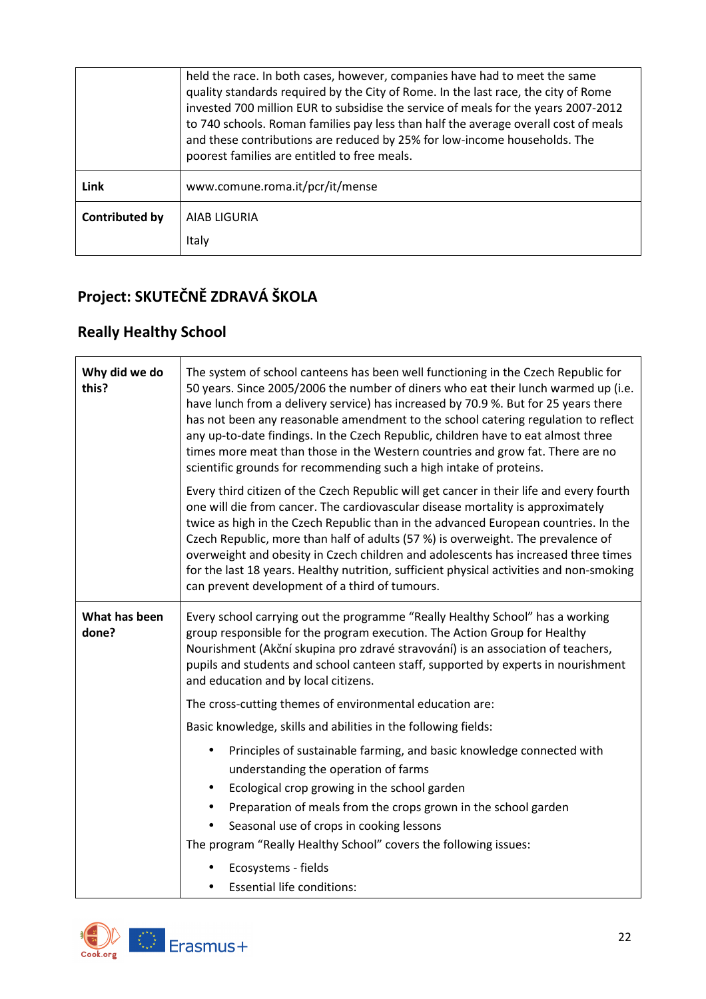|                | held the race. In both cases, however, companies have had to meet the same<br>quality standards required by the City of Rome. In the last race, the city of Rome<br>invested 700 million EUR to subsidise the service of meals for the years 2007-2012<br>to 740 schools. Roman families pay less than half the average overall cost of meals<br>and these contributions are reduced by 25% for low-income households. The<br>poorest families are entitled to free meals. |
|----------------|----------------------------------------------------------------------------------------------------------------------------------------------------------------------------------------------------------------------------------------------------------------------------------------------------------------------------------------------------------------------------------------------------------------------------------------------------------------------------|
| Link           | www.comune.roma.it/pcr/it/mense                                                                                                                                                                                                                                                                                                                                                                                                                                            |
| Contributed by | AIAB LIGURIA<br>Italy                                                                                                                                                                                                                                                                                                                                                                                                                                                      |

# **Project: SKUTEČNĚ ZDRAVÁ ŠKOLA**

## **Really Healthy School**

| Why did we do<br>this? | The system of school canteens has been well functioning in the Czech Republic for<br>50 years. Since 2005/2006 the number of diners who eat their lunch warmed up (i.e.<br>have lunch from a delivery service) has increased by 70.9 %. But for 25 years there<br>has not been any reasonable amendment to the school catering regulation to reflect<br>any up-to-date findings. In the Czech Republic, children have to eat almost three<br>times more meat than those in the Western countries and grow fat. There are no<br>scientific grounds for recommending such a high intake of proteins. |
|------------------------|----------------------------------------------------------------------------------------------------------------------------------------------------------------------------------------------------------------------------------------------------------------------------------------------------------------------------------------------------------------------------------------------------------------------------------------------------------------------------------------------------------------------------------------------------------------------------------------------------|
|                        | Every third citizen of the Czech Republic will get cancer in their life and every fourth<br>one will die from cancer. The cardiovascular disease mortality is approximately<br>twice as high in the Czech Republic than in the advanced European countries. In the<br>Czech Republic, more than half of adults (57 %) is overweight. The prevalence of<br>overweight and obesity in Czech children and adolescents has increased three times<br>for the last 18 years. Healthy nutrition, sufficient physical activities and non-smoking<br>can prevent development of a third of tumours.         |
| What has been<br>done? | Every school carrying out the programme "Really Healthy School" has a working<br>group responsible for the program execution. The Action Group for Healthy<br>Nourishment (Akční skupina pro zdravé stravování) is an association of teachers,<br>pupils and students and school canteen staff, supported by experts in nourishment<br>and education and by local citizens.                                                                                                                                                                                                                        |
|                        | The cross-cutting themes of environmental education are:                                                                                                                                                                                                                                                                                                                                                                                                                                                                                                                                           |
|                        | Basic knowledge, skills and abilities in the following fields:                                                                                                                                                                                                                                                                                                                                                                                                                                                                                                                                     |
|                        | Principles of sustainable farming, and basic knowledge connected with<br>$\bullet$<br>understanding the operation of farms                                                                                                                                                                                                                                                                                                                                                                                                                                                                         |
|                        | Ecological crop growing in the school garden<br>$\bullet$<br>Preparation of meals from the crops grown in the school garden<br>$\bullet$                                                                                                                                                                                                                                                                                                                                                                                                                                                           |
|                        | Seasonal use of crops in cooking lessons                                                                                                                                                                                                                                                                                                                                                                                                                                                                                                                                                           |
|                        | The program "Really Healthy School" covers the following issues:                                                                                                                                                                                                                                                                                                                                                                                                                                                                                                                                   |
|                        | Ecosystems - fields                                                                                                                                                                                                                                                                                                                                                                                                                                                                                                                                                                                |
|                        | <b>Essential life conditions:</b>                                                                                                                                                                                                                                                                                                                                                                                                                                                                                                                                                                  |

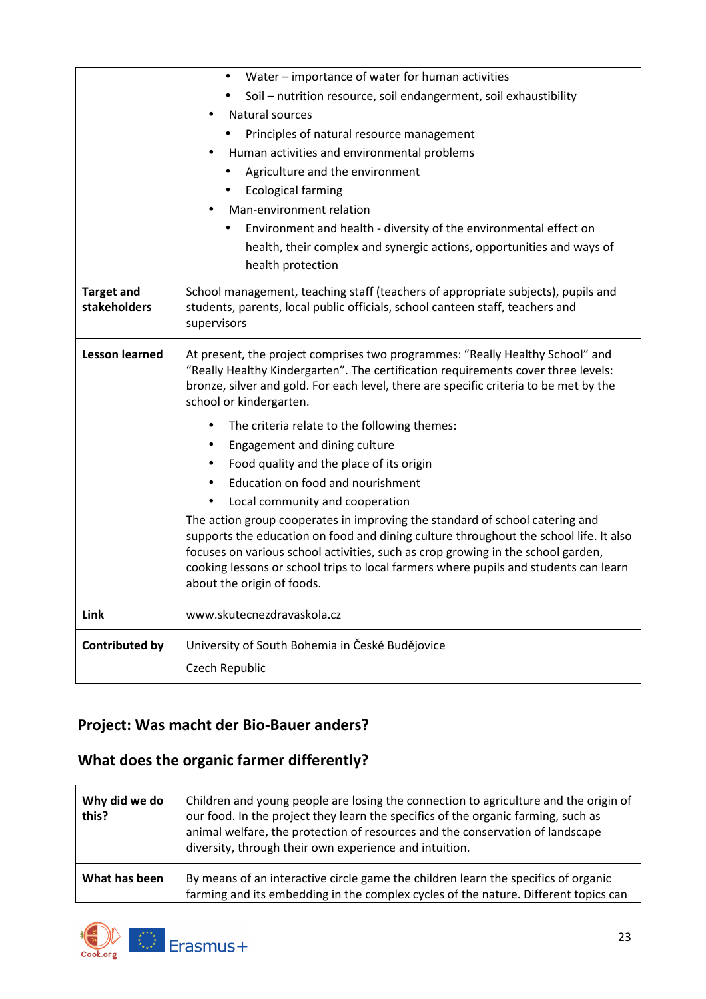|                       | Water - importance of water for human activities<br>٠                                                                                                                     |
|-----------------------|---------------------------------------------------------------------------------------------------------------------------------------------------------------------------|
|                       | Soil - nutrition resource, soil endangerment, soil exhaustibility                                                                                                         |
|                       | Natural sources                                                                                                                                                           |
|                       | Principles of natural resource management                                                                                                                                 |
|                       | Human activities and environmental problems                                                                                                                               |
|                       | Agriculture and the environment                                                                                                                                           |
|                       | <b>Ecological farming</b>                                                                                                                                                 |
|                       | Man-environment relation                                                                                                                                                  |
|                       | Environment and health - diversity of the environmental effect on                                                                                                         |
|                       | health, their complex and synergic actions, opportunities and ways of                                                                                                     |
|                       | health protection                                                                                                                                                         |
|                       |                                                                                                                                                                           |
| <b>Target and</b>     | School management, teaching staff (teachers of appropriate subjects), pupils and                                                                                          |
| <b>stakeholders</b>   | students, parents, local public officials, school canteen staff, teachers and<br>supervisors                                                                              |
|                       |                                                                                                                                                                           |
| <b>Lesson learned</b> | At present, the project comprises two programmes: "Really Healthy School" and                                                                                             |
|                       | "Really Healthy Kindergarten". The certification requirements cover three levels:                                                                                         |
|                       | bronze, silver and gold. For each level, there are specific criteria to be met by the                                                                                     |
|                       | school or kindergarten.                                                                                                                                                   |
|                       | The criteria relate to the following themes:                                                                                                                              |
|                       | Engagement and dining culture                                                                                                                                             |
|                       | Food quality and the place of its origin                                                                                                                                  |
|                       | Education on food and nourishment                                                                                                                                         |
|                       | Local community and cooperation                                                                                                                                           |
|                       | The action group cooperates in improving the standard of school catering and                                                                                              |
|                       | supports the education on food and dining culture throughout the school life. It also<br>focuses on various school activities, such as crop growing in the school garden, |
|                       | cooking lessons or school trips to local farmers where pupils and students can learn                                                                                      |
|                       | about the origin of foods.                                                                                                                                                |
|                       |                                                                                                                                                                           |
| Link                  | www.skutecnezdravaskola.cz                                                                                                                                                |
| <b>Contributed by</b> | University of South Bohemia in České Budějovice                                                                                                                           |
|                       | Czech Republic                                                                                                                                                            |
|                       |                                                                                                                                                                           |

## **Project: Was macht der Bio-Bauer anders?**

# **What does the organic farmer differently?**

| Why did we do<br>this? | Children and young people are losing the connection to agriculture and the origin of<br>our food. In the project they learn the specifics of the organic farming, such as<br>animal welfare, the protection of resources and the conservation of landscape<br>diversity, through their own experience and intuition. |
|------------------------|----------------------------------------------------------------------------------------------------------------------------------------------------------------------------------------------------------------------------------------------------------------------------------------------------------------------|
| What has been          | By means of an interactive circle game the children learn the specifics of organic<br>farming and its embedding in the complex cycles of the nature. Different topics can                                                                                                                                            |

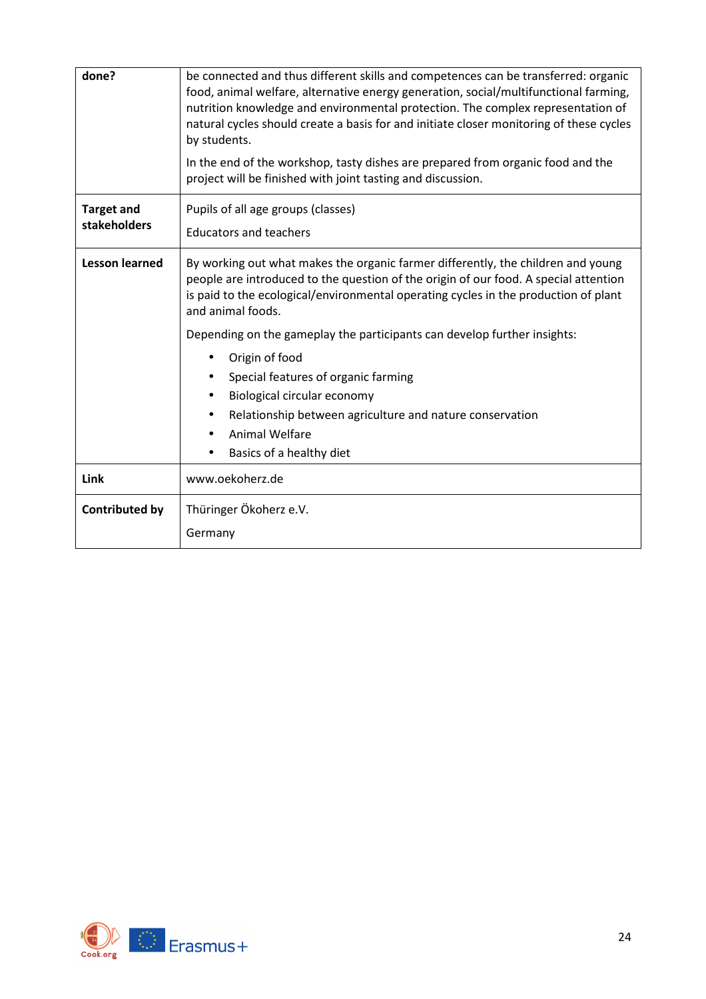| done?                             | be connected and thus different skills and competences can be transferred: organic<br>food, animal welfare, alternative energy generation, social/multifunctional farming,<br>nutrition knowledge and environmental protection. The complex representation of<br>natural cycles should create a basis for and initiate closer monitoring of these cycles<br>by students.<br>In the end of the workshop, tasty dishes are prepared from organic food and the<br>project will be finished with joint tasting and discussion. |  |  |
|-----------------------------------|----------------------------------------------------------------------------------------------------------------------------------------------------------------------------------------------------------------------------------------------------------------------------------------------------------------------------------------------------------------------------------------------------------------------------------------------------------------------------------------------------------------------------|--|--|
| <b>Target and</b><br>stakeholders | Pupils of all age groups (classes)<br><b>Educators and teachers</b>                                                                                                                                                                                                                                                                                                                                                                                                                                                        |  |  |
| <b>Lesson learned</b>             | By working out what makes the organic farmer differently, the children and young<br>people are introduced to the question of the origin of our food. A special attention<br>is paid to the ecological/environmental operating cycles in the production of plant<br>and animal foods.                                                                                                                                                                                                                                       |  |  |
|                                   | Depending on the gameplay the participants can develop further insights:                                                                                                                                                                                                                                                                                                                                                                                                                                                   |  |  |
|                                   | Origin of food                                                                                                                                                                                                                                                                                                                                                                                                                                                                                                             |  |  |
|                                   | Special features of organic farming                                                                                                                                                                                                                                                                                                                                                                                                                                                                                        |  |  |
|                                   | Biological circular economy                                                                                                                                                                                                                                                                                                                                                                                                                                                                                                |  |  |
|                                   | Relationship between agriculture and nature conservation                                                                                                                                                                                                                                                                                                                                                                                                                                                                   |  |  |
|                                   | <b>Animal Welfare</b><br>Basics of a healthy diet<br>$\bullet$                                                                                                                                                                                                                                                                                                                                                                                                                                                             |  |  |
|                                   |                                                                                                                                                                                                                                                                                                                                                                                                                                                                                                                            |  |  |
| Link                              | www.oekoherz.de                                                                                                                                                                                                                                                                                                                                                                                                                                                                                                            |  |  |
| <b>Contributed by</b>             | Thüringer Ökoherz e.V.                                                                                                                                                                                                                                                                                                                                                                                                                                                                                                     |  |  |
|                                   | Germany                                                                                                                                                                                                                                                                                                                                                                                                                                                                                                                    |  |  |